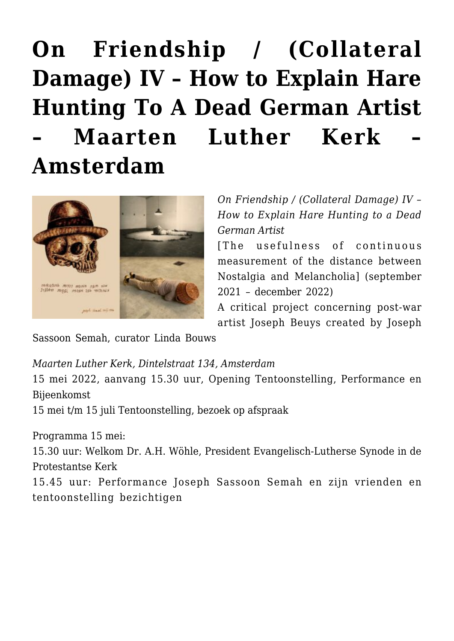## **[On Friendship / \(Collateral](https://rozenbergquarterly.com/on-friendship-collateral-damage-iv-how-to-explain-hare-hunting-to-a-dead-german-artist-maarten-luther-kerk-amsterdam/) [Damage\) IV – How to Explain Hare](https://rozenbergquarterly.com/on-friendship-collateral-damage-iv-how-to-explain-hare-hunting-to-a-dead-german-artist-maarten-luther-kerk-amsterdam/) [Hunting To A Dead German Artist](https://rozenbergquarterly.com/on-friendship-collateral-damage-iv-how-to-explain-hare-hunting-to-a-dead-german-artist-maarten-luther-kerk-amsterdam/) [– Maarten Luther Kerk –](https://rozenbergquarterly.com/on-friendship-collateral-damage-iv-how-to-explain-hare-hunting-to-a-dead-german-artist-maarten-luther-kerk-amsterdam/) [Amsterdam](https://rozenbergquarterly.com/on-friendship-collateral-damage-iv-how-to-explain-hare-hunting-to-a-dead-german-artist-maarten-luther-kerk-amsterdam/)**



*On Friendship / (Collateral Damage) IV – How to Explain Hare Hunting to a Dead German Artist*

[The usefulness of continuous measurement of the distance between Nostalgia and Melancholia] (september 2021 – december 2022)

A critical project concerning post-war artist Joseph Beuys created by Joseph

Sassoon Semah, curator Linda Bouws

*Maarten Luther Kerk, Dintelstraat 134, Amsterdam*

15 mei 2022, aanvang 15.30 uur, Opening Tentoonstelling, Performance en Bijeenkomst

15 mei t/m 15 juli Tentoonstelling, bezoek op afspraak

Programma 15 mei:

15.30 uur: Welkom Dr. A.H. Wöhle, President Evangelisch-Lutherse Synode in de Protestantse Kerk

15.45 uur: Performance Joseph Sassoon Semah en zijn vrienden en tentoonstelling bezichtigen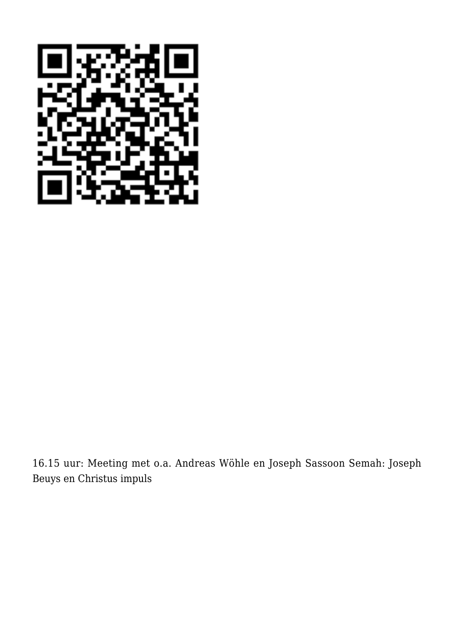

16.15 uur: Meeting met o.a. Andreas Wöhle en Joseph Sassoon Semah: Joseph Beuys en Christus impuls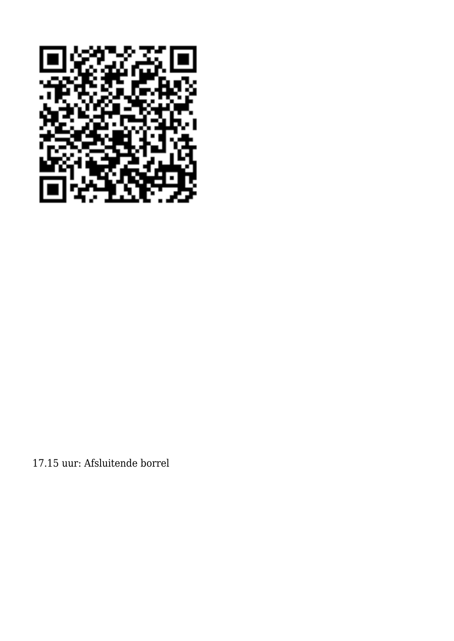

17.15 uur: Afsluitende borrel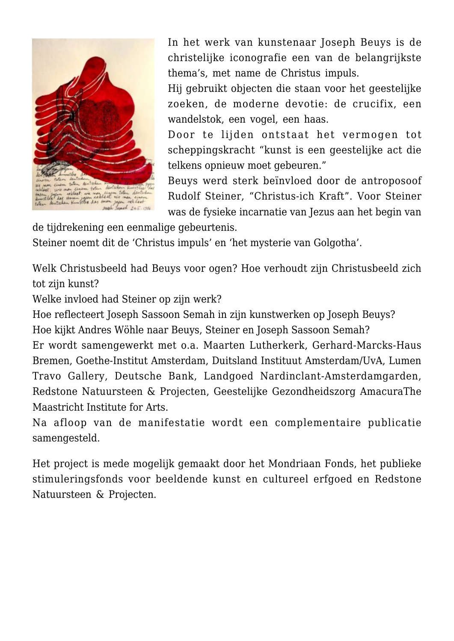

In het werk van kunstenaar Joseph Beuys is de christelijke iconografie een van de belangrijkste thema's, met name de Christus impuls.

Hij gebruikt objecten die staan voor het geestelijke zoeken, de moderne devotie: de crucifix, een wandelstok, een vogel, een haas.

Door te lijden ontstaat het vermogen tot scheppingskracht "kunst is een geestelijke act die telkens opnieuw moet gebeuren."

Beuys werd sterk beïnvloed door de antroposoof Rudolf Steiner, "Christus-ich Kraft". Voor Steiner was de fysieke incarnatie van Jezus aan het begin van

de tijdrekening een eenmalige gebeurtenis.

Steiner noemt dit de 'Christus impuls' en 'het mysterie van Golgotha'.

Welk Christusbeeld had Beuys voor ogen? Hoe verhoudt zijn Christusbeeld zich tot zijn kunst?

Welke invloed had Steiner op zijn werk?

Hoe reflecteert Joseph Sassoon Semah in zijn kunstwerken op Joseph Beuys? Hoe kijkt Andres Wöhle naar Beuys, Steiner en Joseph Sassoon Semah?

Er wordt samengewerkt met o.a. Maarten Lutherkerk, Gerhard-Marcks-Haus Bremen, Goethe-Institut Amsterdam, Duitsland Instituut Amsterdam/UvA, Lumen Travo Gallery, Deutsche Bank, Landgoed Nardinclant-Amsterdamgarden, Redstone Natuursteen & Projecten, Geestelijke Gezondheidszorg AmacuraThe Maastricht Institute for Arts.

Na afloop van de manifestatie wordt een complementaire publicatie samengesteld.

Het project is mede mogelijk gemaakt door het Mondriaan Fonds, het publieke stimuleringsfonds voor beeldende kunst en cultureel erfgoed en Redstone Natuursteen & Projecten.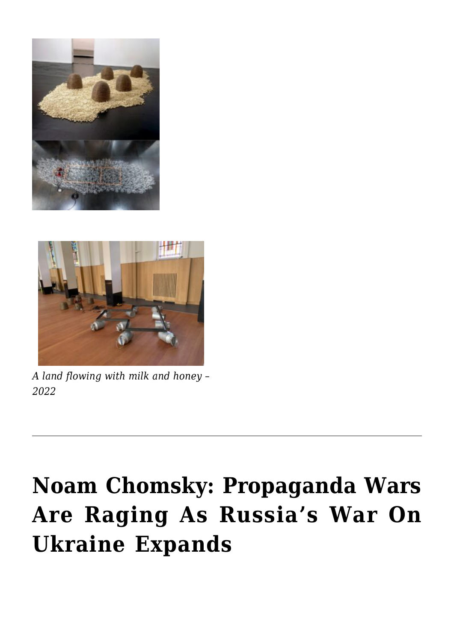



*A land flowing with milk and honey – 2022*

## **[Noam Chomsky: Propaganda Wars](https://rozenbergquarterly.com/noam-chomsky-propaganda-wars-are-raging-as-russias-war-on-ukraine-expands/) [Are Raging As Russia's War On](https://rozenbergquarterly.com/noam-chomsky-propaganda-wars-are-raging-as-russias-war-on-ukraine-expands/) [Ukraine Expands](https://rozenbergquarterly.com/noam-chomsky-propaganda-wars-are-raging-as-russias-war-on-ukraine-expands/)**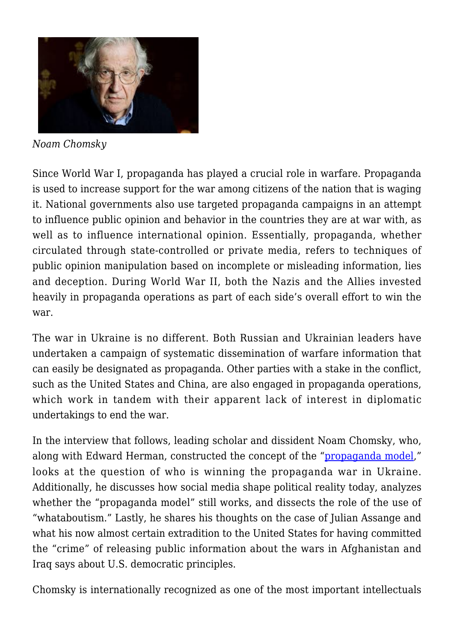

*Noam Chomsky*

Since World War I, propaganda has played a crucial role in warfare. Propaganda is used to increase support for the war among citizens of the nation that is waging it. National governments also use targeted propaganda campaigns in an attempt to influence public opinion and behavior in the countries they are at war with, as well as to influence international opinion. Essentially, propaganda, whether circulated through state-controlled or private media, refers to techniques of public opinion manipulation based on incomplete or misleading information, lies and deception. During World War II, both the Nazis and the Allies invested heavily in propaganda operations as part of each side's overall effort to win the war.

The war in Ukraine is no different. Both Russian and Ukrainian leaders have undertaken a campaign of systematic dissemination of warfare information that can easily be designated as propaganda. Other parties with a stake in the conflict, such as the United States and China, are also engaged in propaganda operations, which work in tandem with their apparent lack of interest in diplomatic undertakings to end the war.

In the interview that follows, leading scholar and dissident Noam Chomsky, who, along with Edward Herman, constructed the concept of the "[propaganda model,](https://chomsky.info/consent01/)" looks at the question of who is winning the propaganda war in Ukraine. Additionally, he discusses how social media shape political reality today, analyzes whether the "propaganda model" still works, and dissects the role of the use of "whataboutism." Lastly, he shares his thoughts on the case of Julian Assange and what his now almost certain extradition to the United States for having committed the "crime" of releasing public information about the wars in Afghanistan and Iraq says about U.S. democratic principles.

Chomsky is internationally recognized as one of the most important intellectuals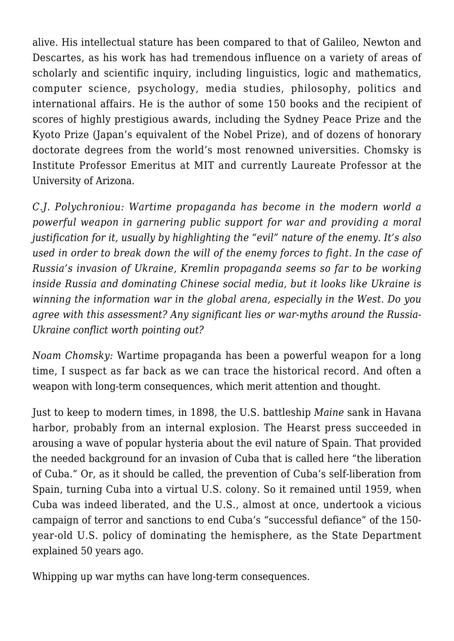alive. His intellectual stature has been compared to that of Galileo, Newton and Descartes, as his work has had tremendous influence on a variety of areas of scholarly and scientific inquiry, including linguistics, logic and mathematics, computer science, psychology, media studies, philosophy, politics and international affairs. He is the author of some 150 books and the recipient of scores of highly prestigious awards, including the Sydney Peace Prize and the Kyoto Prize (Japan's equivalent of the Nobel Prize), and of dozens of honorary doctorate degrees from the world's most renowned universities. Chomsky is Institute Professor Emeritus at MIT and currently Laureate Professor at the University of Arizona.

*C.J. Polychroniou: Wartime propaganda has become in the modern world a powerful weapon in garnering public support for war and providing a moral justification for it, usually by highlighting the "evil" nature of the enemy. It's also used in order to break down the will of the enemy forces to fight. In the case of Russia's invasion of Ukraine, Kremlin propaganda seems so far to be working inside Russia and dominating Chinese social media, but it looks like Ukraine is winning the information war in the global arena, especially in the West. Do you agree with this assessment? Any significant lies or war-myths around the Russia-Ukraine conflict worth pointing out?*

*Noam Chomsky:* Wartime propaganda has been a powerful weapon for a long time, I suspect as far back as we can trace the historical record. And often a weapon with long-term consequences, which merit attention and thought.

Just to keep to modern times, in 1898, the U.S. battleship *Maine* sank in Havana harbor, probably from an internal explosion. The Hearst press succeeded in arousing a wave of popular hysteria about the evil nature of Spain. That provided the needed background for an invasion of Cuba that is called here "the liberation of Cuba." Or, as it should be called, the prevention of Cuba's self-liberation from Spain, turning Cuba into a virtual U.S. colony. So it remained until 1959, when Cuba was indeed liberated, and the U.S., almost at once, undertook a vicious campaign of terror and sanctions to end Cuba's "successful defiance" of the 150 year-old U.S. policy of dominating the hemisphere, as the State Department explained 50 years ago.

Whipping up war myths can have long-term consequences.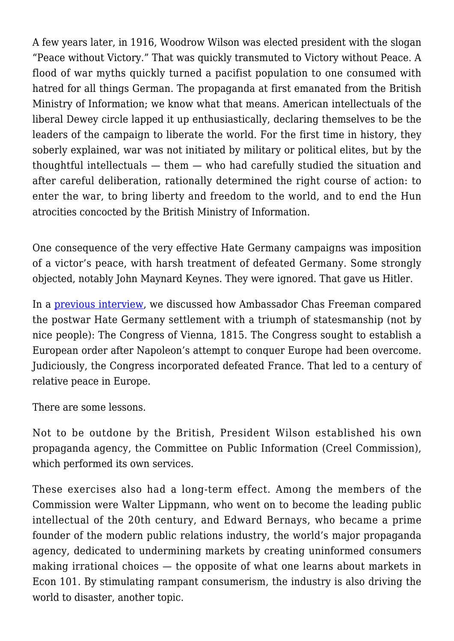A few years later, in 1916, Woodrow Wilson was elected president with the slogan "Peace without Victory." That was quickly transmuted to Victory without Peace. A flood of war myths quickly turned a pacifist population to one consumed with hatred for all things German. The propaganda at first emanated from the British Ministry of Information; we know what that means. American intellectuals of the liberal Dewey circle lapped it up enthusiastically, declaring themselves to be the leaders of the campaign to liberate the world. For the first time in history, they soberly explained, war was not initiated by military or political elites, but by the thoughtful intellectuals — them — who had carefully studied the situation and after careful deliberation, rationally determined the right course of action: to enter the war, to bring liberty and freedom to the world, and to end the Hun atrocities concocted by the British Ministry of Information.

One consequence of the very effective Hate Germany campaigns was imposition of a victor's peace, with harsh treatment of defeated Germany. Some strongly objected, notably John Maynard Keynes. They were ignored. That gave us Hitler.

In a [previous interview](https://truthout.org/articles/chomsky-us-policy-toward-putin-assures-no-path-to-de-escalation-in-ukraine/), we discussed how Ambassador Chas Freeman compared the postwar Hate Germany settlement with a triumph of statesmanship (not by nice people): The Congress of Vienna, 1815. The Congress sought to establish a European order after Napoleon's attempt to conquer Europe had been overcome. Judiciously, the Congress incorporated defeated France. That led to a century of relative peace in Europe.

There are some lessons.

Not to be outdone by the British, President Wilson established his own propaganda agency, the Committee on Public Information (Creel Commission), which performed its own services.

These exercises also had a long-term effect. Among the members of the Commission were Walter Lippmann, who went on to become the leading public intellectual of the 20th century, and Edward Bernays, who became a prime founder of the modern public relations industry, the world's major propaganda agency, dedicated to undermining markets by creating uninformed consumers making irrational choices — the opposite of what one learns about markets in Econ 101. By stimulating rampant consumerism, the industry is also driving the world to disaster, another topic.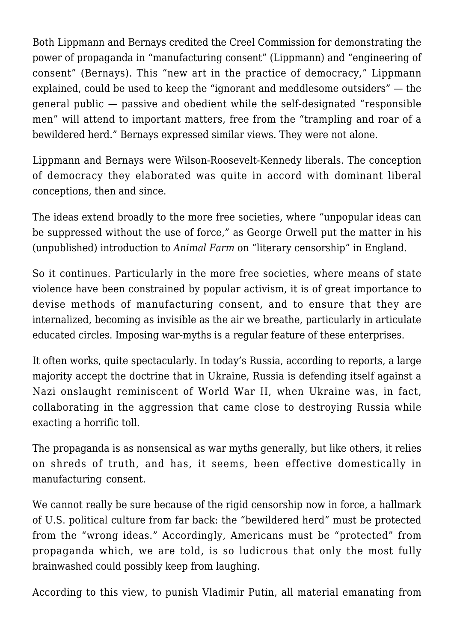Both Lippmann and Bernays credited the Creel Commission for demonstrating the power of propaganda in "manufacturing consent" (Lippmann) and "engineering of consent" (Bernays). This "new art in the practice of democracy," Lippmann explained, could be used to keep the "ignorant and meddlesome outsiders" — the general public — passive and obedient while the self-designated "responsible men" will attend to important matters, free from the "trampling and roar of a bewildered herd." Bernays expressed similar views. They were not alone.

Lippmann and Bernays were Wilson-Roosevelt-Kennedy liberals. The conception of democracy they elaborated was quite in accord with dominant liberal conceptions, then and since.

The ideas extend broadly to the more free societies, where "unpopular ideas can be suppressed without the use of force," as George Orwell put the matter in his (unpublished) introduction to *Animal Farm* on "literary censorship" in England.

So it continues. Particularly in the more free societies, where means of state violence have been constrained by popular activism, it is of great importance to devise methods of manufacturing consent, and to ensure that they are internalized, becoming as invisible as the air we breathe, particularly in articulate educated circles. Imposing war-myths is a regular feature of these enterprises.

It often works, quite spectacularly. In today's Russia, according to reports, a large majority accept the doctrine that in Ukraine, Russia is defending itself against a Nazi onslaught reminiscent of World War II, when Ukraine was, in fact, collaborating in the aggression that came close to destroying Russia while exacting a horrific toll.

The propaganda is as nonsensical as war myths generally, but like others, it relies on shreds of truth, and has, it seems, been effective domestically in manufacturing consent.

We cannot really be sure because of the rigid censorship now in force, a hallmark of U.S. political culture from far back: the "bewildered herd" must be protected from the "wrong ideas." Accordingly, Americans must be "protected" from propaganda which, we are told, is so ludicrous that only the most fully brainwashed could possibly keep from laughing.

According to this view, to punish Vladimir Putin, all material emanating from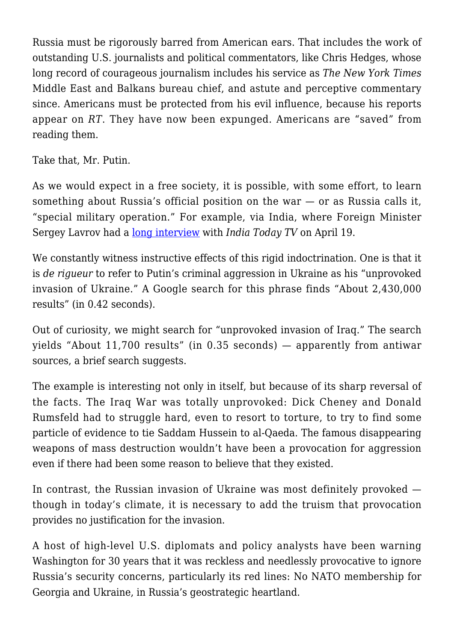Russia must be rigorously barred from American ears. That includes the work of outstanding U.S. journalists and political commentators, like Chris Hedges, whose long record of courageous journalism includes his service as *The New York Times* Middle East and Balkans bureau chief, and astute and perceptive commentary since. Americans must be protected from his evil influence, because his reports appear on *RT*. They have now been expunged. Americans are "saved" from reading them.

Take that, Mr. Putin.

As we would expect in a free society, it is possible, with some effort, to learn something about Russia's official position on the war — or as Russia calls it, "special military operation." For example, via India, where Foreign Minister Sergey Lavrov had a [long interview](https://www.youtube.com/watch?v=_syI2X-ZD8o) with *India Today TV* on April 19.

We constantly witness instructive effects of this rigid indoctrination. One is that it is *de rigueur* to refer to Putin's criminal aggression in Ukraine as his "unprovoked invasion of Ukraine." A Google search for this phrase finds "About 2,430,000 results" (in 0.42 seconds).

Out of curiosity, we might search for "unprovoked invasion of Iraq." The search yields "About 11,700 results" (in 0.35 seconds) — apparently from antiwar sources, a brief search suggests.

The example is interesting not only in itself, but because of its sharp reversal of the facts. The Iraq War was totally unprovoked: Dick Cheney and Donald Rumsfeld had to struggle hard, even to resort to torture, to try to find some particle of evidence to tie Saddam Hussein to al-Qaeda. The famous disappearing weapons of mass destruction wouldn't have been a provocation for aggression even if there had been some reason to believe that they existed.

In contrast, the Russian invasion of Ukraine was most definitely provoked though in today's climate, it is necessary to add the truism that provocation provides no justification for the invasion.

A host of high-level U.S. diplomats and policy analysts have been warning Washington for 30 years that it was reckless and needlessly provocative to ignore Russia's security concerns, particularly its red lines: No NATO membership for Georgia and Ukraine, in Russia's geostrategic heartland.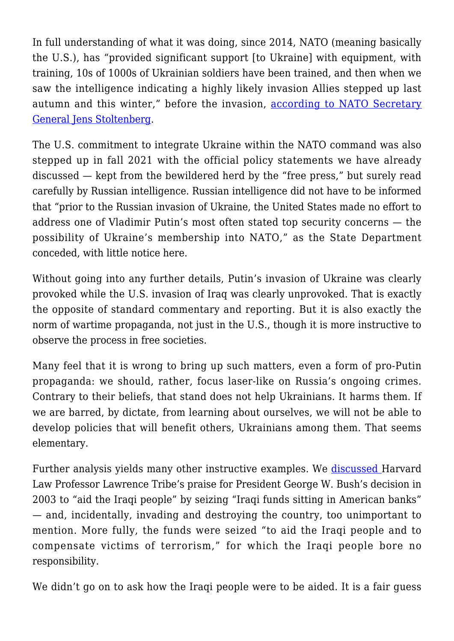In full understanding of what it was doing, since 2014, NATO (meaning basically the U.S.), has "provided significant support [to Ukraine] with equipment, with training, 10s of 1000s of Ukrainian soldiers have been trained, and then when we saw the intelligence indicating a highly likely invasion Allies stepped up last autumn and this winter," before the invasion, [according to NATO Secretary](https://www.nato.int/cps/en/natohq/opinions_194330.htm) [General Jens Stoltenberg.](https://www.nato.int/cps/en/natohq/opinions_194330.htm)

The U.S. commitment to integrate Ukraine within the NATO command was also stepped up in fall 2021 with the official policy statements we have already discussed — kept from the bewildered herd by the "free press," but surely read carefully by Russian intelligence. Russian intelligence did not have to be informed that "prior to the Russian invasion of Ukraine, the United States made no effort to address one of Vladimir Putin's most often stated top security concerns — the possibility of Ukraine's membership into NATO," as the State Department conceded, with little notice here.

Without going into any further details. Putin's invasion of Ukraine was clearly provoked while the U.S. invasion of Iraq was clearly unprovoked. That is exactly the opposite of standard commentary and reporting. But it is also exactly the norm of wartime propaganda, not just in the U.S., though it is more instructive to observe the process in free societies.

Many feel that it is wrong to bring up such matters, even a form of pro-Putin propaganda: we should, rather, focus laser-like on Russia's ongoing crimes. Contrary to their beliefs, that stand does not help Ukrainians. It harms them. If we are barred, by dictate, from learning about ourselves, we will not be able to develop policies that will benefit others, Ukrainians among them. That seems elementary.

Further analysis yields many other instructive examples. We **discussed** Harvard Law Professor Lawrence Tribe's praise for President George W. Bush's decision in 2003 to "aid the Iraqi people" by seizing "Iraqi funds sitting in American banks" — and, incidentally, invading and destroying the country, too unimportant to mention. More fully, the funds were seized "to aid the Iraqi people and to compensate victims of terrorism," for which the Iraqi people bore no responsibility.

We didn't go on to ask how the Iraqi people were to be aided. It is a fair guess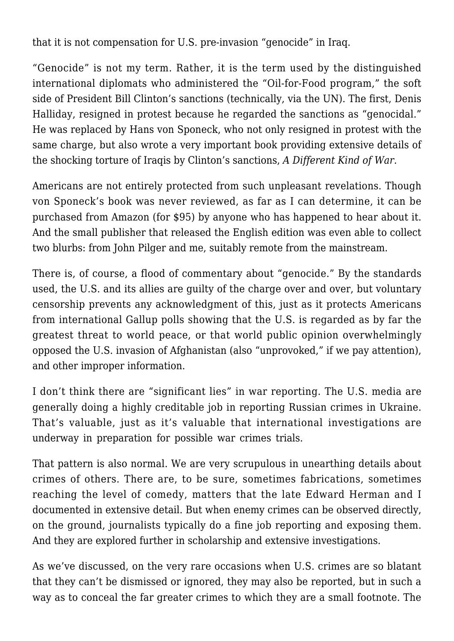that it is not compensation for U.S. pre-invasion "genocide" in Iraq.

"Genocide" is not my term. Rather, it is the term used by the distinguished international diplomats who administered the "Oil-for-Food program," the soft side of President Bill Clinton's sanctions (technically, via the UN). The first, Denis Halliday, resigned in protest because he regarded the sanctions as "genocidal." He was replaced by Hans von Sponeck, who not only resigned in protest with the same charge, but also wrote a very important book providing extensive details of the shocking torture of Iraqis by Clinton's sanctions, *A Different Kind of War*.

Americans are not entirely protected from such unpleasant revelations. Though von Sponeck's book was never reviewed, as far as I can determine, it can be purchased from Amazon (for \$95) by anyone who has happened to hear about it. And the small publisher that released the English edition was even able to collect two blurbs: from John Pilger and me, suitably remote from the mainstream.

There is, of course, a flood of commentary about "genocide." By the standards used, the U.S. and its allies are guilty of the charge over and over, but voluntary censorship prevents any acknowledgment of this, just as it protects Americans from international Gallup polls showing that the U.S. is regarded as by far the greatest threat to world peace, or that world public opinion overwhelmingly opposed the U.S. invasion of Afghanistan (also "unprovoked," if we pay attention), and other improper information.

I don't think there are "significant lies" in war reporting. The U.S. media are generally doing a highly creditable job in reporting Russian crimes in Ukraine. That's valuable, just as it's valuable that international investigations are underway in preparation for possible war crimes trials.

That pattern is also normal. We are very scrupulous in unearthing details about crimes of others. There are, to be sure, sometimes fabrications, sometimes reaching the level of comedy, matters that the late Edward Herman and I documented in extensive detail. But when enemy crimes can be observed directly, on the ground, journalists typically do a fine job reporting and exposing them. And they are explored further in scholarship and extensive investigations.

As we've discussed, on the very rare occasions when U.S. crimes are so blatant that they can't be dismissed or ignored, they may also be reported, but in such a way as to conceal the far greater crimes to which they are a small footnote. The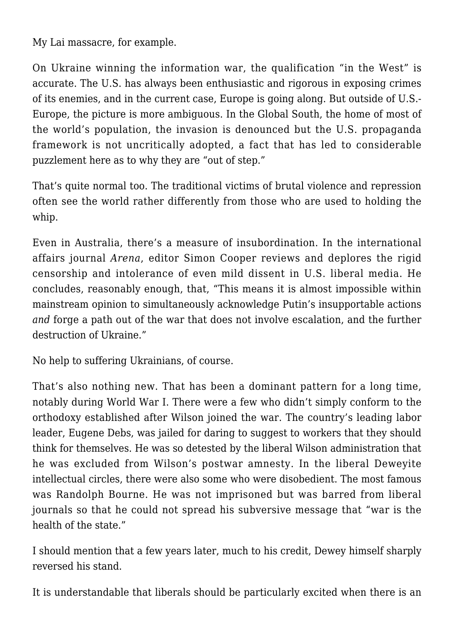My Lai massacre, for example.

On Ukraine winning the information war, the qualification "in the West" is accurate. The U.S. has always been enthusiastic and rigorous in exposing crimes of its enemies, and in the current case, Europe is going along. But outside of U.S.- Europe, the picture is more ambiguous. In the Global South, the home of most of the world's population, the invasion is denounced but the U.S. propaganda framework is not uncritically adopted, a fact that has led to considerable puzzlement here as to why they are "out of step."

That's quite normal too. The traditional victims of brutal violence and repression often see the world rather differently from those who are used to holding the whip.

Even in Australia, there's a measure of insubordination. In the international affairs journal *Arena*, editor Simon Cooper reviews and deplores the rigid censorship and intolerance of even mild dissent in U.S. liberal media. He concludes, reasonably enough, that, "This means it is almost impossible within mainstream opinion to simultaneously acknowledge Putin's insupportable actions *and* forge a path out of the war that does not involve escalation, and the further destruction of Ukraine."

No help to suffering Ukrainians, of course.

That's also nothing new. That has been a dominant pattern for a long time, notably during World War I. There were a few who didn't simply conform to the orthodoxy established after Wilson joined the war. The country's leading labor leader, Eugene Debs, was jailed for daring to suggest to workers that they should think for themselves. He was so detested by the liberal Wilson administration that he was excluded from Wilson's postwar amnesty. In the liberal Deweyite intellectual circles, there were also some who were disobedient. The most famous was Randolph Bourne. He was not imprisoned but was barred from liberal journals so that he could not spread his subversive message that "war is the health of the state."

I should mention that a few years later, much to his credit, Dewey himself sharply reversed his stand.

It is understandable that liberals should be particularly excited when there is an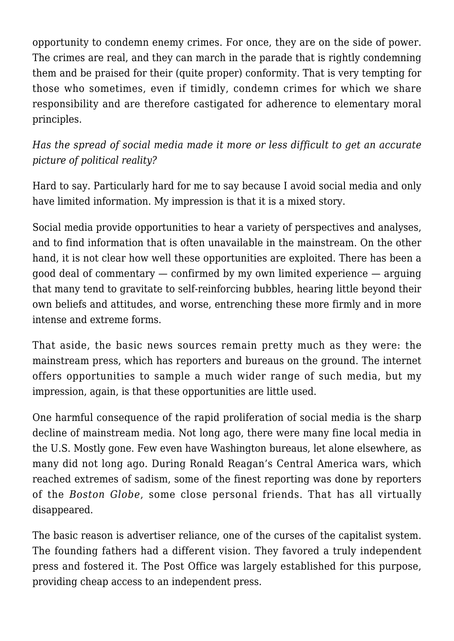opportunity to condemn enemy crimes. For once, they are on the side of power. The crimes are real, and they can march in the parade that is rightly condemning them and be praised for their (quite proper) conformity. That is very tempting for those who sometimes, even if timidly, condemn crimes for which we share responsibility and are therefore castigated for adherence to elementary moral principles.

*Has the spread of social media made it more or less difficult to get an accurate picture of political reality?*

Hard to say. Particularly hard for me to say because I avoid social media and only have limited information. My impression is that it is a mixed story.

Social media provide opportunities to hear a variety of perspectives and analyses, and to find information that is often unavailable in the mainstream. On the other hand, it is not clear how well these opportunities are exploited. There has been a good deal of commentary — confirmed by my own limited experience — arguing that many tend to gravitate to self-reinforcing bubbles, hearing little beyond their own beliefs and attitudes, and worse, entrenching these more firmly and in more intense and extreme forms.

That aside, the basic news sources remain pretty much as they were: the mainstream press, which has reporters and bureaus on the ground. The internet offers opportunities to sample a much wider range of such media, but my impression, again, is that these opportunities are little used.

One harmful consequence of the rapid proliferation of social media is the sharp decline of mainstream media. Not long ago, there were many fine local media in the U.S. Mostly gone. Few even have Washington bureaus, let alone elsewhere, as many did not long ago. During Ronald Reagan's Central America wars, which reached extremes of sadism, some of the finest reporting was done by reporters of the *Boston Globe*, some close personal friends. That has all virtually disappeared.

The basic reason is advertiser reliance, one of the curses of the capitalist system. The founding fathers had a different vision. They favored a truly independent press and fostered it. The Post Office was largely established for this purpose, providing cheap access to an independent press.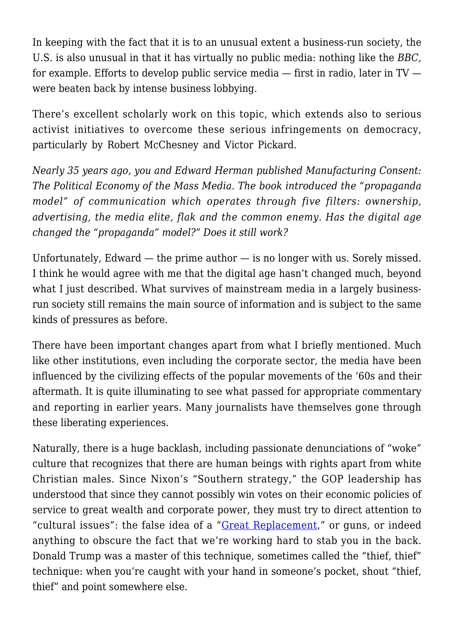In keeping with the fact that it is to an unusual extent a business-run society, the U.S. is also unusual in that it has virtually no public media: nothing like the *BBC,* for example. Efforts to develop public service media — first in radio, later in TV were beaten back by intense business lobbying.

There's excellent scholarly work on this topic, which extends also to serious activist initiatives to overcome these serious infringements on democracy, particularly by Robert McChesney and Victor Pickard.

*Nearly 35 years ago, you and Edward Herman published Manufacturing Consent: The Political Economy of the Mass Media. The book introduced the "propaganda model" of communication which operates through five filters: ownership, advertising, the media elite, flak and the common enemy. Has the digital age changed the "propaganda" model?" Does it still work?*

Unfortunately, Edward — the prime author — is no longer with us. Sorely missed. I think he would agree with me that the digital age hasn't changed much, beyond what I just described. What survives of mainstream media in a largely businessrun society still remains the main source of information and is subject to the same kinds of pressures as before.

There have been important changes apart from what I briefly mentioned. Much like other institutions, even including the corporate sector, the media have been influenced by the civilizing effects of the popular movements of the '60s and their aftermath. It is quite illuminating to see what passed for appropriate commentary and reporting in earlier years. Many journalists have themselves gone through these liberating experiences.

Naturally, there is a huge backlash, including passionate denunciations of "woke" culture that recognizes that there are human beings with rights apart from white Christian males. Since Nixon's "Southern strategy," the GOP leadership has understood that since they cannot possibly win votes on their economic policies of service to great wealth and corporate power, they must try to direct attention to "cultural issues": the false idea of a "[Great Replacement](https://www.teenvogue.com/story/great-replacement-theory-immigration-laws)," or guns, or indeed anything to obscure the fact that we're working hard to stab you in the back. Donald Trump was a master of this technique, sometimes called the "thief, thief" technique: when you're caught with your hand in someone's pocket, shout "thief, thief" and point somewhere else.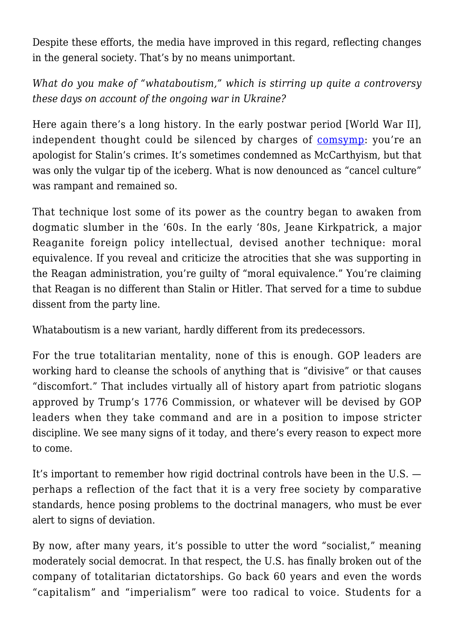Despite these efforts, the media have improved in this regard, reflecting changes in the general society. That's by no means unimportant.

*What do you make of "whataboutism," which is stirring up quite a controversy these days on account of the ongoing war in Ukraine?*

Here again there's a long history. In the early postwar period [World War II], independent thought could be silenced by charges of [comsymp](https://www.merriam-webster.com/dictionary/comsymp#:~:text=Definition%20of%20comsymp,person%20sympathetic%20to%20Communist%20causes): you're an apologist for Stalin's crimes. It's sometimes condemned as McCarthyism, but that was only the vulgar tip of the iceberg. What is now denounced as "cancel culture" was rampant and remained so.

That technique lost some of its power as the country began to awaken from dogmatic slumber in the '60s. In the early '80s, Jeane Kirkpatrick, a major Reaganite foreign policy intellectual, devised another technique: moral equivalence. If you reveal and criticize the atrocities that she was supporting in the Reagan administration, you're guilty of "moral equivalence." You're claiming that Reagan is no different than Stalin or Hitler. That served for a time to subdue dissent from the party line.

Whataboutism is a new variant, hardly different from its predecessors.

For the true totalitarian mentality, none of this is enough. GOP leaders are working hard to cleanse the schools of anything that is "divisive" or that causes "discomfort." That includes virtually all of history apart from patriotic slogans approved by Trump's 1776 Commission, or whatever will be devised by GOP leaders when they take command and are in a position to impose stricter discipline. We see many signs of it today, and there's every reason to expect more to come.

It's important to remember how rigid doctrinal controls have been in the U.S. perhaps a reflection of the fact that it is a very free society by comparative standards, hence posing problems to the doctrinal managers, who must be ever alert to signs of deviation.

By now, after many years, it's possible to utter the word "socialist," meaning moderately social democrat. In that respect, the U.S. has finally broken out of the company of totalitarian dictatorships. Go back 60 years and even the words "capitalism" and "imperialism" were too radical to voice. Students for a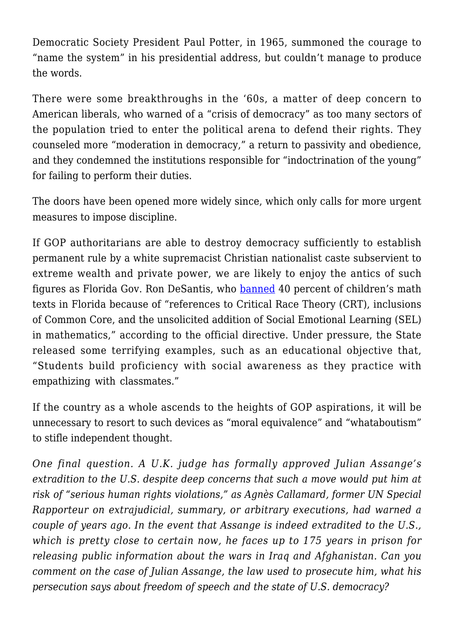Democratic Society President Paul Potter, in 1965, summoned the courage to "name the system" in his presidential address, but couldn't manage to produce the words.

There were some breakthroughs in the '60s, a matter of deep concern to American liberals, who warned of a "crisis of democracy" as too many sectors of the population tried to enter the political arena to defend their rights. They counseled more "moderation in democracy," a return to passivity and obedience, and they condemned the institutions responsible for "indoctrination of the young" for failing to perform their duties.

The doors have been opened more widely since, which only calls for more urgent measures to impose discipline.

If GOP authoritarians are able to destroy democracy sufficiently to establish permanent rule by a white supremacist Christian nationalist caste subservient to extreme wealth and private power, we are likely to enjoy the antics of such figures as Florida Gov. Ron DeSantis, who [banned](https://www.washingtonpost.com/education/2022/04/21/4-math-textbook-problems-florida-prohibited/) 40 percent of children's math texts in Florida because of "references to Critical Race Theory (CRT), inclusions of Common Core, and the unsolicited addition of Social Emotional Learning (SEL) in mathematics," according to the official directive. Under pressure, the State released some terrifying examples, such as an educational objective that, "Students build proficiency with social awareness as they practice with empathizing with classmates."

If the country as a whole ascends to the heights of GOP aspirations, it will be unnecessary to resort to such devices as "moral equivalence" and "whataboutism" to stifle independent thought.

*One final question. A U.K. judge has formally approved Julian Assange's extradition to the U.S. despite deep concerns that such a move would put him at risk of "serious human rights violations," as Agnès Callamard, former UN Special Rapporteur on extrajudicial, summary, or arbitrary executions, had warned a couple of years ago. In the event that Assange is indeed extradited to the U.S., which is pretty close to certain now, he faces up to 175 years in prison for releasing public information about the wars in Iraq and Afghanistan. Can you comment on the case of Julian Assange, the law used to prosecute him, what his persecution says about freedom of speech and the state of U.S. democracy?*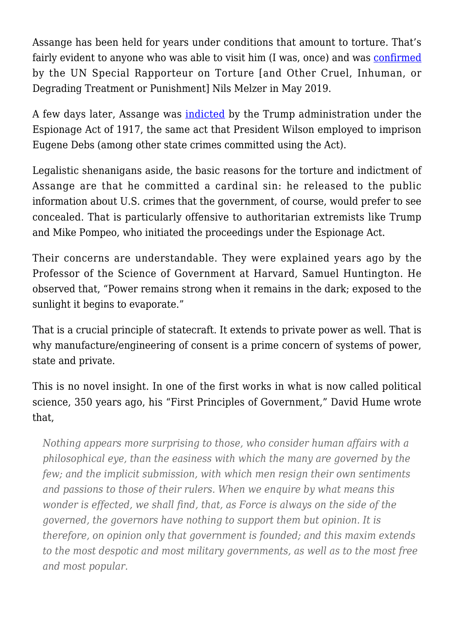Assange has been held for years under conditions that amount to torture. That's fairly evident to anyone who was able to visit him (I was, once) and was [confirmed](https://www.thelancet.com/journals/lancet/article/PIIS0140-6736(20)30383-4/fulltext) by the UN Special Rapporteur on Torture [and Other Cruel, Inhuman, or Degrading Treatment or Punishment] Nils Melzer in May 2019.

A few days later, Assange was [indicted](https://www.nytimes.com/2019/05/23/us/politics/assange-indictment.html) by the Trump administration under the Espionage Act of 1917, the same act that President Wilson employed to imprison Eugene Debs (among other state crimes committed using the Act).

Legalistic shenanigans aside, the basic reasons for the torture and indictment of Assange are that he committed a cardinal sin: he released to the public information about U.S. crimes that the government, of course, would prefer to see concealed. That is particularly offensive to authoritarian extremists like Trump and Mike Pompeo, who initiated the proceedings under the Espionage Act.

Their concerns are understandable. They were explained years ago by the Professor of the Science of Government at Harvard, Samuel Huntington. He observed that, "Power remains strong when it remains in the dark; exposed to the sunlight it begins to evaporate."

That is a crucial principle of statecraft. It extends to private power as well. That is why manufacture/engineering of consent is a prime concern of systems of power, state and private.

This is no novel insight. In one of the first works in what is now called political science, 350 years ago, his "First Principles of Government," David Hume wrote that,

*Nothing appears more surprising to those, who consider human affairs with a philosophical eye, than the easiness with which the many are governed by the few; and the implicit submission, with which men resign their own sentiments and passions to those of their rulers. When we enquire by what means this wonder is effected, we shall find, that, as Force is always on the side of the governed, the governors have nothing to support them but opinion. It is therefore, on opinion only that government is founded; and this maxim extends to the most despotic and most military governments, as well as to the most free and most popular.*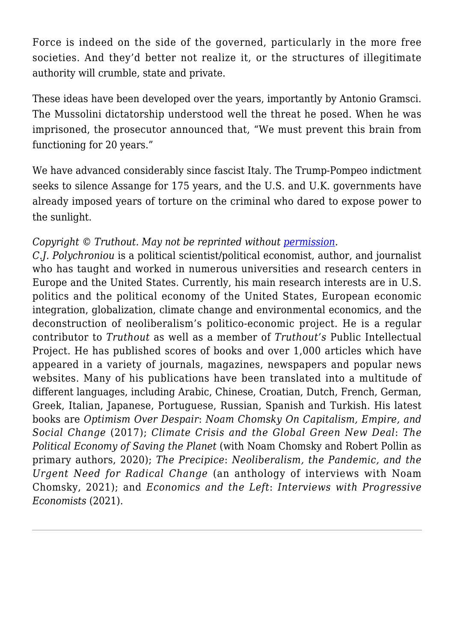Force is indeed on the side of the governed, particularly in the more free societies. And they'd better not realize it, or the structures of illegitimate authority will crumble, state and private.

These ideas have been developed over the years, importantly by Antonio Gramsci. The Mussolini dictatorship understood well the threat he posed. When he was imprisoned, the prosecutor announced that, "We must prevent this brain from functioning for 20 years."

We have advanced considerably since fascist Italy. The Trump-Pompeo indictment seeks to silence Assange for 175 years, and the U.S. and U.K. governments have already imposed years of torture on the criminal who dared to expose power to the sunlight.

### *Copyright* © Truthout. May not be reprinted without [permission.](mailto:editor@truthout.org)

*C.J. Polychroniou* is a political scientist/political economist, author, and journalist who has taught and worked in numerous universities and research centers in Europe and the United States. Currently, his main research interests are in U.S. politics and the political economy of the United States, European economic integration, globalization, climate change and environmental economics, and the deconstruction of neoliberalism's politico-economic project. He is a regular contributor to *Truthout* as well as a member of *Truthout's* Public Intellectual Project. He has published scores of books and over 1,000 articles which have appeared in a variety of journals, magazines, newspapers and popular news websites. Many of his publications have been translated into a multitude of different languages, including Arabic, Chinese, Croatian, Dutch, French, German, Greek, Italian, Japanese, Portuguese, Russian, Spanish and Turkish. His latest books are *Optimism Over Despair*: *Noam Chomsky On Capitalism, Empire, and Social Change* (2017); *Climate Crisis and the Global Green New Deal*: *The Political Economy of Saving the Planet* (with Noam Chomsky and Robert Pollin as primary authors, 2020); *The Precipice*: *Neoliberalism, the Pandemic, and the Urgent Need for Radical Change* (an anthology of interviews with Noam Chomsky, 2021); and *Economics and the Left*: *Interviews with Progressive Economists* (2021).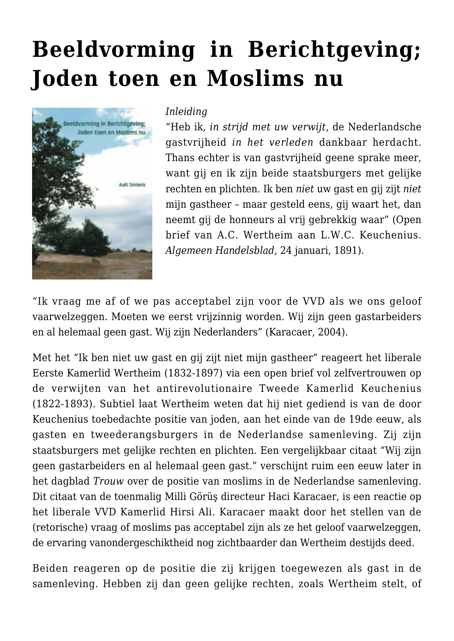## **[Beeldvorming in Berichtgeving;](https://rozenbergquarterly.com/beeldvorming-in-berichtgeving-joden-toen-en-moslims-nu/) [Joden toen en Moslims nu](https://rozenbergquarterly.com/beeldvorming-in-berichtgeving-joden-toen-en-moslims-nu/)**



#### *Inleiding*

"Heb ik, *in strijd met uw verwijt*, de Nederlandsche gastvrijheid *in het verleden* dankbaar herdacht. Thans echter is van gastvrijheid geene sprake meer, want gij en ik zijn beide staatsburgers met gelijke rechten en plichten. Ik ben *niet* uw gast en gij zijt *niet* mijn gastheer – maar gesteld eens, gij waart het, dan neemt gij de honneurs al vrij gebrekkig waar" (Open brief van A.C. Wertheim aan L.W.C. Keuchenius. *Algemeen Handelsblad*, 24 januari, 1891).

"Ik vraag me af of we pas acceptabel zijn voor de VVD als we ons geloof vaarwelzeggen. Moeten we eerst vrijzinnig worden. Wij zijn geen gastarbeiders en al helemaal geen gast. Wij zijn Nederlanders" (Karacaer, 2004).

Met het "Ik ben niet uw gast en gij zijt niet mijn gastheer" reageert het liberale Eerste Kamerlid Wertheim (1832-1897) via een open brief vol zelfvertrouwen op de verwijten van het antirevolutionaire Tweede Kamerlid Keuchenius (1822-1893). Subtiel laat Wertheim weten dat hij niet gediend is van de door Keuchenius toebedachte positie van joden, aan het einde van de 19de eeuw, als gasten en tweederangsburgers in de Nederlandse samenleving. Zij zijn staatsburgers met gelijke rechten en plichten. Een vergelijkbaar citaat "Wij zijn geen gastarbeiders en al helemaal geen gast." verschijnt ruim een eeuw later in het dagblad *Trouw* over de positie van moslims in de Nederlandse samenleving. Dit citaat van de toenmalig Milli Görüş directeur Haci Karacaer, is een reactie op het liberale VVD Kamerlid Hirsi Ali. Karacaer maakt door het stellen van de (retorische) vraag of moslims pas acceptabel zijn als ze het geloof vaarwelzeggen, de ervaring vanondergeschiktheid nog zichtbaarder dan Wertheim destijds deed.

Beiden reageren op de positie die zij krijgen toegewezen als gast in de samenleving. Hebben zij dan geen gelijke rechten, zoals Wertheim stelt, of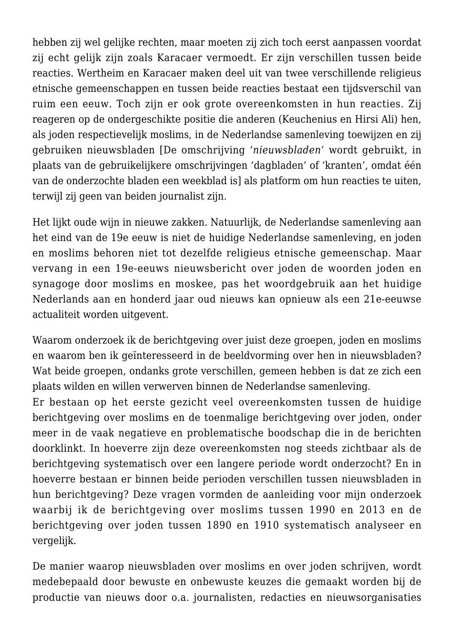hebben zij wel gelijke rechten, maar moeten zij zich toch eerst aanpassen voordat zij echt gelijk zijn zoals Karacaer vermoedt. Er zijn verschillen tussen beide reacties. Wertheim en Karacaer maken deel uit van twee verschillende religieus etnische gemeenschappen en tussen beide reacties bestaat een tijdsverschil van ruim een eeuw. Toch zijn er ook grote overeenkomsten in hun reacties. Zij reageren op de ondergeschikte positie die anderen (Keuchenius en Hirsi Ali) hen, als joden respectievelijk moslims, in de Nederlandse samenleving toewijzen en zij gebruiken nieuwsbladen [De omschrijving *'nieuwsbladen'* wordt gebruikt, in plaats van de gebruikelijkere omschrijvingen 'dagbladen' of 'kranten', omdat één van de onderzochte bladen een weekblad is] als platform om hun reacties te uiten, terwijl zij geen van beiden journalist zijn.

Het lijkt oude wijn in nieuwe zakken. Natuurlijk, de Nederlandse samenleving aan het eind van de 19e eeuw is niet de huidige Nederlandse samenleving, en joden en moslims behoren niet tot dezelfde religieus etnische gemeenschap. Maar vervang in een 19e-eeuws nieuwsbericht over joden de woorden joden en synagoge door moslims en moskee, pas het woordgebruik aan het huidige Nederlands aan en honderd jaar oud nieuws kan opnieuw als een 21e-eeuwse actualiteit worden uitgevent.

Waarom onderzoek ik de berichtgeving over juist deze groepen, joden en moslims en waarom ben ik geïnteresseerd in de beeldvorming over hen in nieuwsbladen? Wat beide groepen, ondanks grote verschillen, gemeen hebben is dat ze zich een plaats wilden en willen verwerven binnen de Nederlandse samenleving.

Er bestaan op het eerste gezicht veel overeenkomsten tussen de huidige berichtgeving over moslims en de toenmalige berichtgeving over joden, onder meer in de vaak negatieve en problematische boodschap die in de berichten doorklinkt. In hoeverre zijn deze overeenkomsten nog steeds zichtbaar als de berichtgeving systematisch over een langere periode wordt onderzocht? En in hoeverre bestaan er binnen beide perioden verschillen tussen nieuwsbladen in hun berichtgeving? Deze vragen vormden de aanleiding voor mijn onderzoek waarbij ik de berichtgeving over moslims tussen 1990 en 2013 en de berichtgeving over joden tussen 1890 en 1910 systematisch analyseer en vergelijk.

De manier waarop nieuwsbladen over moslims en over joden schrijven, wordt medebepaald door bewuste en onbewuste keuzes die gemaakt worden bij de productie van nieuws door o.a. journalisten, redacties en nieuwsorganisaties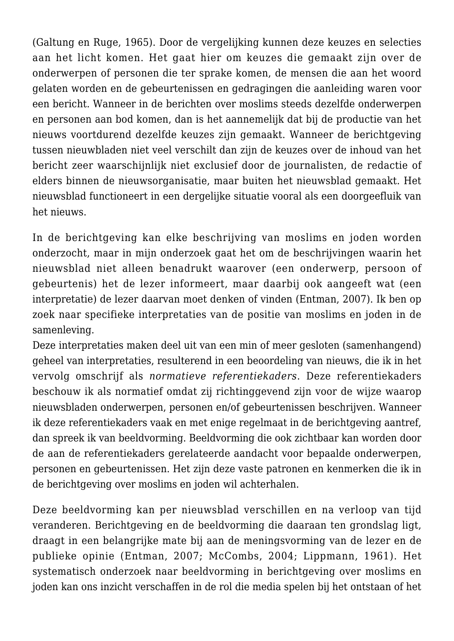(Galtung en Ruge, 1965). Door de vergelijking kunnen deze keuzes en selecties aan het licht komen. Het gaat hier om keuzes die gemaakt zijn over de onderwerpen of personen die ter sprake komen, de mensen die aan het woord gelaten worden en de gebeurtenissen en gedragingen die aanleiding waren voor een bericht. Wanneer in de berichten over moslims steeds dezelfde onderwerpen en personen aan bod komen, dan is het aannemelijk dat bij de productie van het nieuws voortdurend dezelfde keuzes zijn gemaakt. Wanneer de berichtgeving tussen nieuwbladen niet veel verschilt dan zijn de keuzes over de inhoud van het bericht zeer waarschijnlijk niet exclusief door de journalisten, de redactie of elders binnen de nieuwsorganisatie, maar buiten het nieuwsblad gemaakt. Het nieuwsblad functioneert in een dergelijke situatie vooral als een doorgeefluik van het nieuws.

In de berichtgeving kan elke beschrijving van moslims en joden worden onderzocht, maar in mijn onderzoek gaat het om de beschrijvingen waarin het nieuwsblad niet alleen benadrukt waarover (een onderwerp, persoon of gebeurtenis) het de lezer informeert, maar daarbij ook aangeeft wat (een interpretatie) de lezer daarvan moet denken of vinden (Entman, 2007). Ik ben op zoek naar specifieke interpretaties van de positie van moslims en joden in de samenleving.

Deze interpretaties maken deel uit van een min of meer gesloten (samenhangend) geheel van interpretaties, resulterend in een beoordeling van nieuws, die ik in het vervolg omschrijf als *normatieve referentiekaders*. Deze referentiekaders beschouw ik als normatief omdat zij richtinggevend zijn voor de wijze waarop nieuwsbladen onderwerpen, personen en/of gebeurtenissen beschrijven. Wanneer ik deze referentiekaders vaak en met enige regelmaat in de berichtgeving aantref, dan spreek ik van beeldvorming. Beeldvorming die ook zichtbaar kan worden door de aan de referentiekaders gerelateerde aandacht voor bepaalde onderwerpen, personen en gebeurtenissen. Het zijn deze vaste patronen en kenmerken die ik in de berichtgeving over moslims en joden wil achterhalen.

Deze beeldvorming kan per nieuwsblad verschillen en na verloop van tijd veranderen. Berichtgeving en de beeldvorming die daaraan ten grondslag ligt, draagt in een belangrijke mate bij aan de meningsvorming van de lezer en de publieke opinie (Entman, 2007; McCombs, 2004; Lippmann, 1961). Het systematisch onderzoek naar beeldvorming in berichtgeving over moslims en joden kan ons inzicht verschaffen in de rol die media spelen bij het ontstaan of het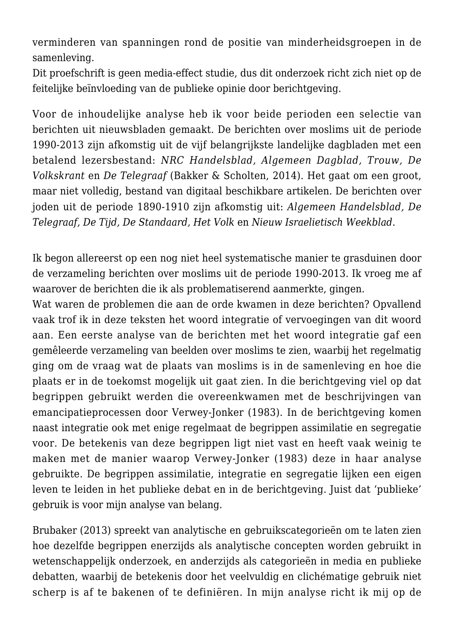verminderen van spanningen rond de positie van minderheidsgroepen in de samenleving.

Dit proefschrift is geen media-effect studie, dus dit onderzoek richt zich niet op de feitelijke beïnvloeding van de publieke opinie door berichtgeving.

Voor de inhoudelijke analyse heb ik voor beide perioden een selectie van berichten uit nieuwsbladen gemaakt. De berichten over moslims uit de periode 1990-2013 zijn afkomstig uit de vijf belangrijkste landelijke dagbladen met een betalend lezersbestand: *NRC Handelsblad, Algemeen Dagblad, Trouw, De Volkskrant* en *De Telegraaf* (Bakker & Scholten, 2014). Het gaat om een groot, maar niet volledig, bestand van digitaal beschikbare artikelen. De berichten over joden uit de periode 1890-1910 zijn afkomstig uit: *Algemeen Handelsblad, De Telegraaf, De Tijd, De Standaard, Het Volk* en *Nieuw Israelietisch Weekblad*.

Ik begon allereerst op een nog niet heel systematische manier te grasduinen door de verzameling berichten over moslims uit de periode 1990-2013. Ik vroeg me af waarover de berichten die ik als problematiserend aanmerkte, gingen.

Wat waren de problemen die aan de orde kwamen in deze berichten? Opvallend vaak trof ik in deze teksten het woord integratie of vervoegingen van dit woord aan. Een eerste analyse van de berichten met het woord integratie gaf een gemêleerde verzameling van beelden over moslims te zien, waarbij het regelmatig ging om de vraag wat de plaats van moslims is in de samenleving en hoe die plaats er in de toekomst mogelijk uit gaat zien. In die berichtgeving viel op dat begrippen gebruikt werden die overeenkwamen met de beschrijvingen van emancipatieprocessen door Verwey-Jonker (1983). In de berichtgeving komen naast integratie ook met enige regelmaat de begrippen assimilatie en segregatie voor. De betekenis van deze begrippen ligt niet vast en heeft vaak weinig te maken met de manier waarop Verwey-Jonker (1983) deze in haar analyse gebruikte. De begrippen assimilatie, integratie en segregatie lijken een eigen leven te leiden in het publieke debat en in de berichtgeving. Juist dat 'publieke' gebruik is voor mijn analyse van belang.

Brubaker (2013) spreekt van analytische en gebruikscategorieën om te laten zien hoe dezelfde begrippen enerzijds als analytische concepten worden gebruikt in wetenschappelijk onderzoek, en anderzijds als categorieën in media en publieke debatten, waarbij de betekenis door het veelvuldig en clichématige gebruik niet scherp is af te bakenen of te definiëren. In mijn analyse richt ik mij op de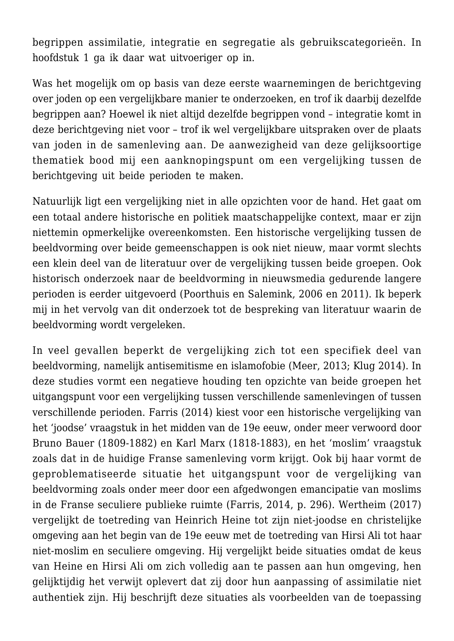begrippen assimilatie, integratie en segregatie als gebruikscategorieën. In hoofdstuk 1 ga ik daar wat uitvoeriger op in.

Was het mogelijk om op basis van deze eerste waarnemingen de berichtgeving over joden op een vergelijkbare manier te onderzoeken, en trof ik daarbij dezelfde begrippen aan? Hoewel ik niet altijd dezelfde begrippen vond – integratie komt in deze berichtgeving niet voor – trof ik wel vergelijkbare uitspraken over de plaats van joden in de samenleving aan. De aanwezigheid van deze gelijksoortige thematiek bood mij een aanknopingspunt om een vergelijking tussen de berichtgeving uit beide perioden te maken.

Natuurlijk ligt een vergelijking niet in alle opzichten voor de hand. Het gaat om een totaal andere historische en politiek maatschappelijke context, maar er zijn niettemin opmerkelijke overeenkomsten. Een historische vergelijking tussen de beeldvorming over beide gemeenschappen is ook niet nieuw, maar vormt slechts een klein deel van de literatuur over de vergelijking tussen beide groepen. Ook historisch onderzoek naar de beeldvorming in nieuwsmedia gedurende langere perioden is eerder uitgevoerd (Poorthuis en Salemink, 2006 en 2011). Ik beperk mij in het vervolg van dit onderzoek tot de bespreking van literatuur waarin de beeldvorming wordt vergeleken.

In veel gevallen beperkt de vergelijking zich tot een specifiek deel van beeldvorming, namelijk antisemitisme en islamofobie (Meer, 2013; Klug 2014). In deze studies vormt een negatieve houding ten opzichte van beide groepen het uitgangspunt voor een vergelijking tussen verschillende samenlevingen of tussen verschillende perioden. Farris (2014) kiest voor een historische vergelijking van het 'joodse' vraagstuk in het midden van de 19e eeuw, onder meer verwoord door Bruno Bauer (1809-1882) en Karl Marx (1818-1883), en het 'moslim' vraagstuk zoals dat in de huidige Franse samenleving vorm krijgt. Ook bij haar vormt de geproblematiseerde situatie het uitgangspunt voor de vergelijking van beeldvorming zoals onder meer door een afgedwongen emancipatie van moslims in de Franse seculiere publieke ruimte (Farris, 2014, p. 296). Wertheim (2017) vergelijkt de toetreding van Heinrich Heine tot zijn niet-joodse en christelijke omgeving aan het begin van de 19e eeuw met de toetreding van Hirsi Ali tot haar niet-moslim en seculiere omgeving. Hij vergelijkt beide situaties omdat de keus van Heine en Hirsi Ali om zich volledig aan te passen aan hun omgeving, hen gelijktijdig het verwijt oplevert dat zij door hun aanpassing of assimilatie niet authentiek zijn. Hij beschrijft deze situaties als voorbeelden van de toepassing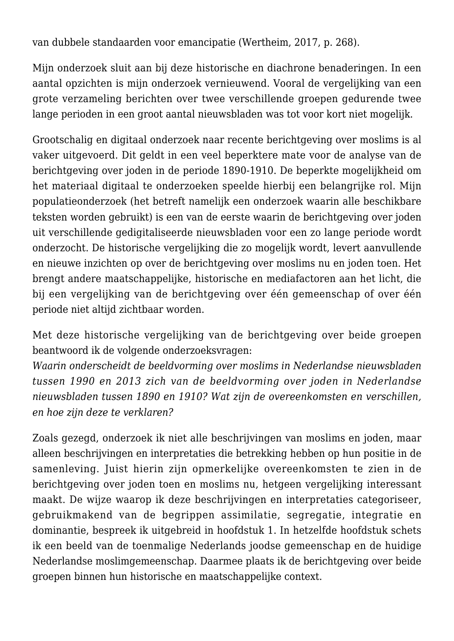van dubbele standaarden voor emancipatie (Wertheim, 2017, p. 268).

Mijn onderzoek sluit aan bij deze historische en diachrone benaderingen. In een aantal opzichten is mijn onderzoek vernieuwend. Vooral de vergelijking van een grote verzameling berichten over twee verschillende groepen gedurende twee lange perioden in een groot aantal nieuwsbladen was tot voor kort niet mogelijk.

Grootschalig en digitaal onderzoek naar recente berichtgeving over moslims is al vaker uitgevoerd. Dit geldt in een veel beperktere mate voor de analyse van de berichtgeving over joden in de periode 1890-1910. De beperkte mogelijkheid om het materiaal digitaal te onderzoeken speelde hierbij een belangrijke rol. Mijn populatieonderzoek (het betreft namelijk een onderzoek waarin alle beschikbare teksten worden gebruikt) is een van de eerste waarin de berichtgeving over joden uit verschillende gedigitaliseerde nieuwsbladen voor een zo lange periode wordt onderzocht. De historische vergelijking die zo mogelijk wordt, levert aanvullende en nieuwe inzichten op over de berichtgeving over moslims nu en joden toen. Het brengt andere maatschappelijke, historische en mediafactoren aan het licht, die bij een vergelijking van de berichtgeving over één gemeenschap of over één periode niet altijd zichtbaar worden.

Met deze historische vergelijking van de berichtgeving over beide groepen beantwoord ik de volgende onderzoeksvragen:

*Waarin onderscheidt de beeldvorming over moslims in Nederlandse nieuwsbladen tussen 1990 en 2013 zich van de beeldvorming over joden in Nederlandse nieuwsbladen tussen 1890 en 1910? Wat zijn de overeenkomsten en verschillen, en hoe zijn deze te verklaren?*

Zoals gezegd, onderzoek ik niet alle beschrijvingen van moslims en joden, maar alleen beschrijvingen en interpretaties die betrekking hebben op hun positie in de samenleving. Juist hierin zijn opmerkelijke overeenkomsten te zien in de berichtgeving over joden toen en moslims nu, hetgeen vergelijking interessant maakt. De wijze waarop ik deze beschrijvingen en interpretaties categoriseer, gebruikmakend van de begrippen assimilatie, segregatie, integratie en dominantie, bespreek ik uitgebreid in hoofdstuk 1. In hetzelfde hoofdstuk schets ik een beeld van de toenmalige Nederlands joodse gemeenschap en de huidige Nederlandse moslimgemeenschap. Daarmee plaats ik de berichtgeving over beide groepen binnen hun historische en maatschappelijke context.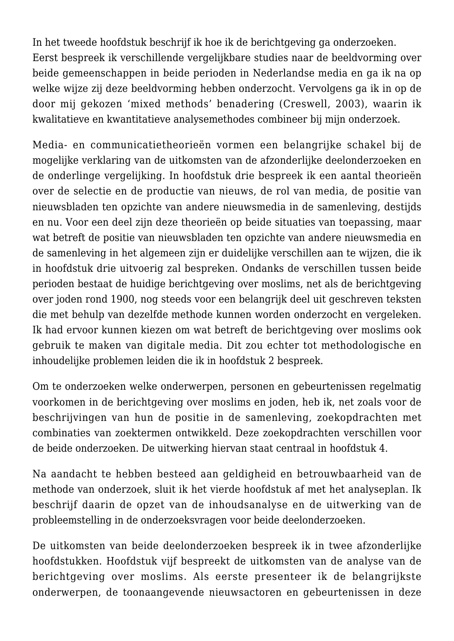In het tweede hoofdstuk beschrijf ik hoe ik de berichtgeving ga onderzoeken. Eerst bespreek ik verschillende vergelijkbare studies naar de beeldvorming over beide gemeenschappen in beide perioden in Nederlandse media en ga ik na op welke wijze zij deze beeldvorming hebben onderzocht. Vervolgens ga ik in op de door mij gekozen 'mixed methods' benadering (Creswell, 2003), waarin ik kwalitatieve en kwantitatieve analysemethodes combineer bij mijn onderzoek.

Media- en communicatietheorieën vormen een belangrijke schakel bij de mogelijke verklaring van de uitkomsten van de afzonderlijke deelonderzoeken en de onderlinge vergelijking. In hoofdstuk drie bespreek ik een aantal theorieën over de selectie en de productie van nieuws, de rol van media, de positie van nieuwsbladen ten opzichte van andere nieuwsmedia in de samenleving, destijds en nu. Voor een deel zijn deze theorieën op beide situaties van toepassing, maar wat betreft de positie van nieuwsbladen ten opzichte van andere nieuwsmedia en de samenleving in het algemeen zijn er duidelijke verschillen aan te wijzen, die ik in hoofdstuk drie uitvoerig zal bespreken. Ondanks de verschillen tussen beide perioden bestaat de huidige berichtgeving over moslims, net als de berichtgeving over joden rond 1900, nog steeds voor een belangrijk deel uit geschreven teksten die met behulp van dezelfde methode kunnen worden onderzocht en vergeleken. Ik had ervoor kunnen kiezen om wat betreft de berichtgeving over moslims ook gebruik te maken van digitale media. Dit zou echter tot methodologische en inhoudelijke problemen leiden die ik in hoofdstuk 2 bespreek.

Om te onderzoeken welke onderwerpen, personen en gebeurtenissen regelmatig voorkomen in de berichtgeving over moslims en joden, heb ik, net zoals voor de beschrijvingen van hun de positie in de samenleving, zoekopdrachten met combinaties van zoektermen ontwikkeld. Deze zoekopdrachten verschillen voor de beide onderzoeken. De uitwerking hiervan staat centraal in hoofdstuk 4.

Na aandacht te hebben besteed aan geldigheid en betrouwbaarheid van de methode van onderzoek, sluit ik het vierde hoofdstuk af met het analyseplan. Ik beschrijf daarin de opzet van de inhoudsanalyse en de uitwerking van de probleemstelling in de onderzoeksvragen voor beide deelonderzoeken.

De uitkomsten van beide deelonderzoeken bespreek ik in twee afzonderlijke hoofdstukken. Hoofdstuk vijf bespreekt de uitkomsten van de analyse van de berichtgeving over moslims. Als eerste presenteer ik de belangrijkste onderwerpen, de toonaangevende nieuwsactoren en gebeurtenissen in deze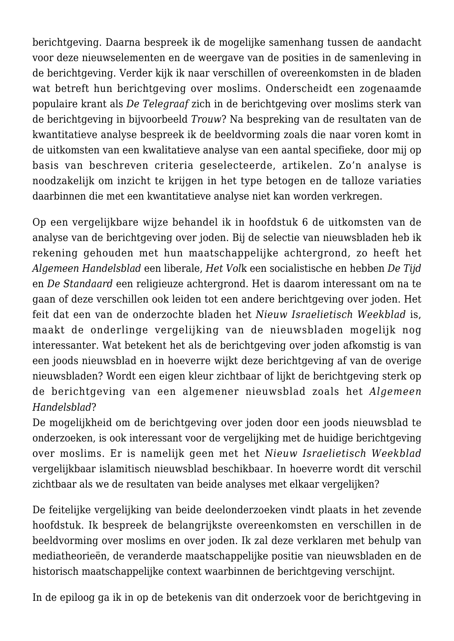berichtgeving. Daarna bespreek ik de mogelijke samenhang tussen de aandacht voor deze nieuwselementen en de weergave van de posities in de samenleving in de berichtgeving. Verder kijk ik naar verschillen of overeenkomsten in de bladen wat betreft hun berichtgeving over moslims. Onderscheidt een zogenaamde populaire krant als *De Telegraaf* zich in de berichtgeving over moslims sterk van de berichtgeving in bijvoorbeeld *Trouw*? Na bespreking van de resultaten van de kwantitatieve analyse bespreek ik de beeldvorming zoals die naar voren komt in de uitkomsten van een kwalitatieve analyse van een aantal specifieke, door mij op basis van beschreven criteria geselecteerde, artikelen. Zo'n analyse is noodzakelijk om inzicht te krijgen in het type betogen en de talloze variaties daarbinnen die met een kwantitatieve analyse niet kan worden verkregen.

Op een vergelijkbare wijze behandel ik in hoofdstuk 6 de uitkomsten van de analyse van de berichtgeving over joden. Bij de selectie van nieuwsbladen heb ik rekening gehouden met hun maatschappelijke achtergrond, zo heeft het *Algemeen Handelsblad* een liberale, *Het Vol*k een socialistische en hebben *De Tijd* en *De Standaard* een religieuze achtergrond. Het is daarom interessant om na te gaan of deze verschillen ook leiden tot een andere berichtgeving over joden. Het feit dat een van de onderzochte bladen het *Nieuw Israelietisch Weekblad* is, maakt de onderlinge vergelijking van de nieuwsbladen mogelijk nog interessanter. Wat betekent het als de berichtgeving over joden afkomstig is van een joods nieuwsblad en in hoeverre wijkt deze berichtgeving af van de overige nieuwsbladen? Wordt een eigen kleur zichtbaar of lijkt de berichtgeving sterk op de berichtgeving van een algemener nieuwsblad zoals het *Algemeen Handelsblad*?

De mogelijkheid om de berichtgeving over joden door een joods nieuwsblad te onderzoeken, is ook interessant voor de vergelijking met de huidige berichtgeving over moslims. Er is namelijk geen met het *Nieuw Israelietisch Weekblad* vergelijkbaar islamitisch nieuwsblad beschikbaar. In hoeverre wordt dit verschil zichtbaar als we de resultaten van beide analyses met elkaar vergelijken?

De feitelijke vergelijking van beide deelonderzoeken vindt plaats in het zevende hoofdstuk. Ik bespreek de belangrijkste overeenkomsten en verschillen in de beeldvorming over moslims en over joden. Ik zal deze verklaren met behulp van mediatheorieën, de veranderde maatschappelijke positie van nieuwsbladen en de historisch maatschappelijke context waarbinnen de berichtgeving verschijnt.

In de epiloog ga ik in op de betekenis van dit onderzoek voor de berichtgeving in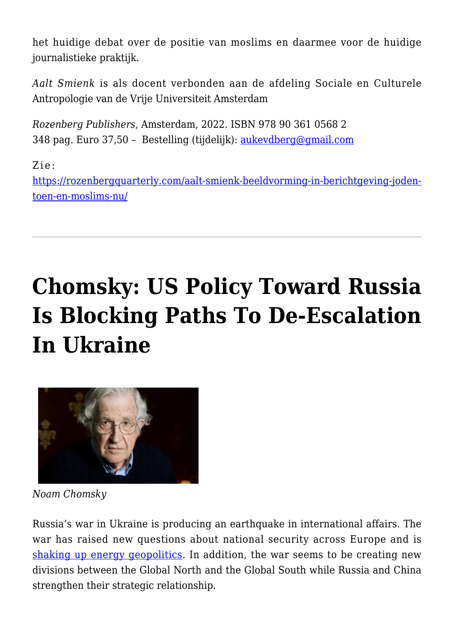het huidige debat over de positie van moslims en daarmee voor de huidige journalistieke praktijk.

*Aalt Smienk* is als docent verbonden aan de afdeling Sociale en Culturele Antropologie van de Vrije Universiteit Amsterdam

*Rozenberg Publishers*, Amsterdam, 2022. ISBN 978 90 361 0568 2 348 pag. Euro 37,50 – Bestelling (tijdelijk): [aukevdberg@gmail.com](mailto:aukevdberg@gmail.com)

Zie:

[https://rozenbergquarterly.com/aalt-smienk-beeldvorming-in-berichtgeving-joden](https://rozenbergquarterly.com/aalt-smienk-beeldvorming-in-berichtgeving-joden-toen-en-moslims-nu/)[toen-en-moslims-nu/](https://rozenbergquarterly.com/aalt-smienk-beeldvorming-in-berichtgeving-joden-toen-en-moslims-nu/)

# **[Chomsky: US Policy Toward Russia](https://rozenbergquarterly.com/chomsky-us-policy-toward-russia-is-blocking-paths-to-de-escalation-in-ukraine/) [Is Blocking Paths To De-Escalation](https://rozenbergquarterly.com/chomsky-us-policy-toward-russia-is-blocking-paths-to-de-escalation-in-ukraine/) [In Ukraine](https://rozenbergquarterly.com/chomsky-us-policy-toward-russia-is-blocking-paths-to-de-escalation-in-ukraine/)**



*Noam Chomsky*

Russia's war in Ukraine is producing an earthquake in international affairs. The war has raised new questions about national security across Europe and is [shaking up energy geopolitics](https://truthout.org/articles/as-europe-turns-away-from-russian-oil-gas-exporters-global-clout-is-increasing/). In addition, the war seems to be creating new divisions between the Global North and the Global South while Russia and China strengthen their strategic relationship.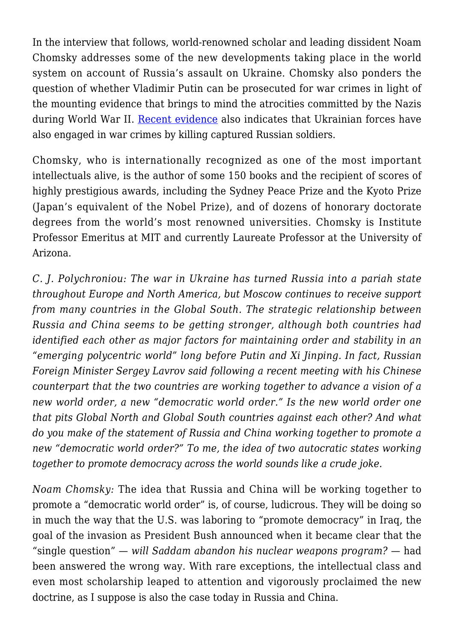In the interview that follows, world-renowned scholar and leading dissident Noam Chomsky addresses some of the new developments taking place in the world system on account of Russia's assault on Ukraine. Chomsky also ponders the question of whether Vladimir Putin can be prosecuted for war crimes in light of the mounting evidence that brings to mind the atrocities committed by the Nazis during World War II. [Recent evidence](https://www.businessinsider.com/video-appears-to-show-ukrainian-soldiers-executing-captured-russian-soldier-nyt-2022-4) also indicates that Ukrainian forces have also engaged in war crimes by killing captured Russian soldiers.

Chomsky, who is internationally recognized as one of the most important intellectuals alive, is the author of some 150 books and the recipient of scores of highly prestigious awards, including the Sydney Peace Prize and the Kyoto Prize (Japan's equivalent of the Nobel Prize), and of dozens of honorary doctorate degrees from the world's most renowned universities. Chomsky is Institute Professor Emeritus at MIT and currently Laureate Professor at the University of Arizona.

*C. J. Polychroniou: The war in Ukraine has turned Russia into a pariah state throughout Europe and North America, but Moscow continues to receive support from many countries in the Global South. The strategic relationship between Russia and China seems to be getting stronger, although both countries had identified each other as major factors for maintaining order and stability in an "emerging polycentric world" long before Putin and Xi Jinping. In fact, Russian Foreign Minister Sergey Lavrov said following a recent meeting with his Chinese counterpart that the two countries are working together to advance a vision of a new world order, a new "democratic world order." Is the new world order one that pits Global North and Global South countries against each other? And what do you make of the statement of Russia and China working together to promote a new "democratic world order?" To me, the idea of two autocratic states working together to promote democracy across the world sounds like a crude joke.*

*Noam Chomsky:* The idea that Russia and China will be working together to promote a "democratic world order" is, of course, ludicrous. They will be doing so in much the way that the U.S. was laboring to "promote democracy" in Iraq, the goal of the invasion as President Bush announced when it became clear that the "single question" — *will Saddam abandon his nuclear weapons program?* — had been answered the wrong way. With rare exceptions, the intellectual class and even most scholarship leaped to attention and vigorously proclaimed the new doctrine, as I suppose is also the case today in Russia and China.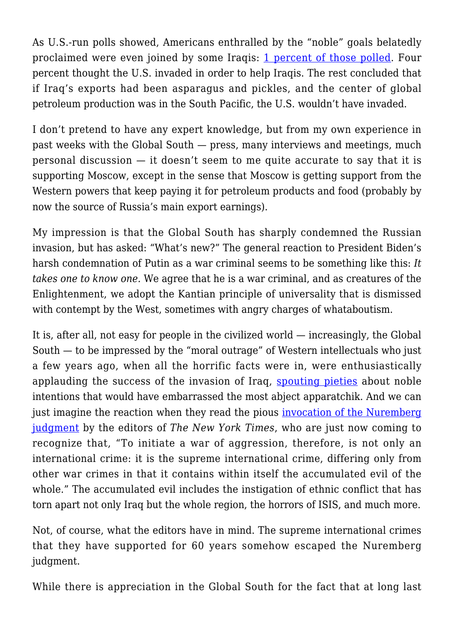As U.S.-run polls showed, Americans enthralled by the "noble" goals belatedly proclaimed were even joined by some Iraqis: [1 percent of those polled.](https://www.middleeasteye.net/opinion/iraq-ukraine-wounds-living-nightmare) Four percent thought the U.S. invaded in order to help Iraqis. The rest concluded that if Iraq's exports had been asparagus and pickles, and the center of global petroleum production was in the South Pacific, the U.S. wouldn't have invaded.

I don't pretend to have any expert knowledge, but from my own experience in past weeks with the Global South — press, many interviews and meetings, much personal discussion  $-$  it doesn't seem to me quite accurate to say that it is supporting Moscow, except in the sense that Moscow is getting support from the Western powers that keep paying it for petroleum products and food (probably by now the source of Russia's main export earnings).

My impression is that the Global South has sharply condemned the Russian invasion, but has asked: "What's new?" The general reaction to President Biden's harsh condemnation of Putin as a war criminal seems to be something like this: *It takes one to know one.* We agree that he is a war criminal, and as creatures of the Enlightenment, we adopt the Kantian principle of universality that is dismissed with contempt by the West, sometimes with angry charges of whataboutism.

It is, after all, not easy for people in the civilized world — increasingly, the Global South — to be impressed by the "moral outrage" of Western intellectuals who just a few years ago, when all the horrific facts were in, were enthusiastically applauding the success of the invasion of Iraq, [spouting pieties](https://www.anneapplebaum.com/2010/08/30/its-too-soon-to-tell-how-the-iraq-war-went/) about noble intentions that would have embarrassed the most abject apparatchik. And we can just imagine the reaction when they read the pious [invocation of the Nuremberg](https://www.nytimes.com/2022/04/06/opinion/war-crimes-ukraine-putin.html) [judgment](https://www.nytimes.com/2022/04/06/opinion/war-crimes-ukraine-putin.html) by the editors of *The New York Times*, who are just now coming to recognize that, "To initiate a war of aggression, therefore, is not only an international crime: it is the supreme international crime, differing only from other war crimes in that it contains within itself the accumulated evil of the whole." The accumulated evil includes the instigation of ethnic conflict that has torn apart not only Iraq but the whole region, the horrors of ISIS, and much more.

Not, of course, what the editors have in mind. The supreme international crimes that they have supported for 60 years somehow escaped the Nuremberg judgment.

While there is appreciation in the Global South for the fact that at long last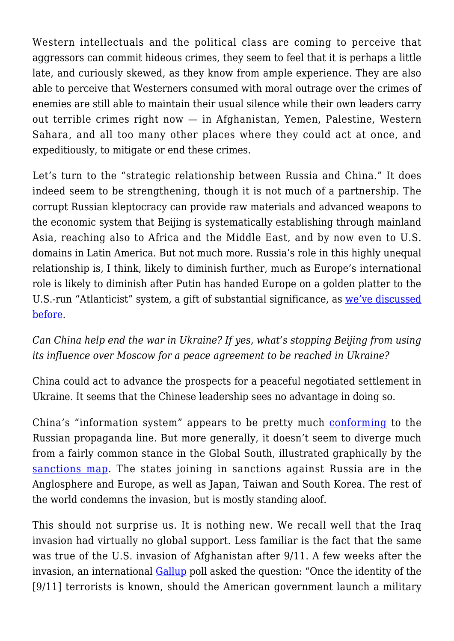Western intellectuals and the political class are coming to perceive that aggressors can commit hideous crimes, they seem to feel that it is perhaps a little late, and curiously skewed, as they know from ample experience. They are also able to perceive that Westerners consumed with moral outrage over the crimes of enemies are still able to maintain their usual silence while their own leaders carry out terrible crimes right now — in Afghanistan, Yemen, Palestine, Western Sahara, and all too many other places where they could act at once, and expeditiously, to mitigate or end these crimes.

Let's turn to the "strategic relationship between Russia and China." It does indeed seem to be strengthening, though it is not much of a partnership. The corrupt Russian kleptocracy can provide raw materials and advanced weapons to the economic system that Beijing is systematically establishing through mainland Asia, reaching also to Africa and the Middle East, and by now even to U.S. domains in Latin America. But not much more. Russia's role in this highly unequal relationship is, I think, likely to diminish further, much as Europe's international role is likely to diminish after Putin has handed Europe on a golden platter to the U.S.-run "Atlanticist" system, a gift of substantial significance, as [we've discussed](https://truthout.org/articles/chomsky-us-push-to-reign-supreme-stokes-the-ukraine-conflict/) [before](https://truthout.org/articles/chomsky-us-push-to-reign-supreme-stokes-the-ukraine-conflict/).

*Can China help end the war in Ukraine? If yes, what's stopping Beijing from using its influence over Moscow for a peace agreement to be reached in Ukraine?*

China could act to advance the prospects for a peaceful negotiated settlement in Ukraine. It seems that the Chinese leadership sees no advantage in doing so.

China's "information system" appears to be pretty much [conforming](https://www.aljazeera.com/news/2022/4/6/china-media-coverage-ukraine-war) to the Russian propaganda line. But more generally, it doesn't seem to diverge much from a fairly common stance in the Global South, illustrated graphically by the [sanctions map](https://graphics.reuters.com/UKRAINE-CRISIS/SANCTIONS/byvrjenzmve/). The states joining in sanctions against Russia are in the Anglosphere and Europe, as well as Japan, Taiwan and South Korea. The rest of the world condemns the invasion, but is mostly standing aloof.

This should not surprise us. It is nothing new. We recall well that the Iraq invasion had virtually no global support. Less familiar is the fact that the same was true of the U.S. invasion of Afghanistan after 9/11. A few weeks after the invasion, an international [Gallup](https://news.gallup.com/topic/terrorism.aspx) poll asked the question: "Once the identity of the [9/11] terrorists is known, should the American government launch a military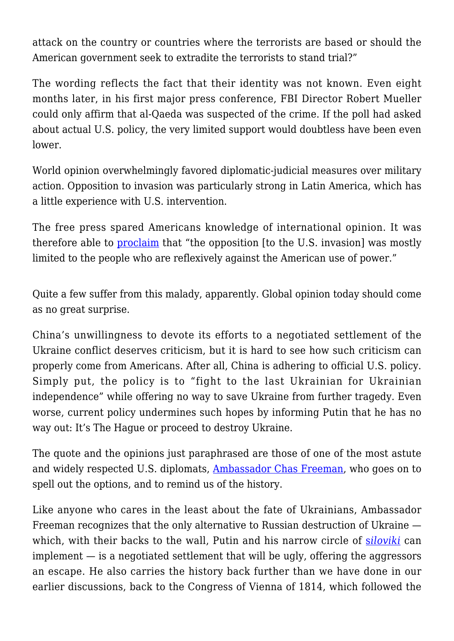attack on the country or countries where the terrorists are based or should the American government seek to extradite the terrorists to stand trial?"

The wording reflects the fact that their identity was not known. Even eight months later, in his first major press conference, FBI Director Robert Mueller could only affirm that al-Qaeda was suspected of the crime. If the poll had asked about actual U.S. policy, the very limited support would doubtless have been even lower.

World opinion overwhelmingly favored diplomatic-judicial measures over military action. Opposition to invasion was particularly strong in Latin America, which has a little experience with U.S. intervention.

The free press spared Americans knowledge of international opinion. It was therefore able to [proclaim](https://www.nytimes.com/2002/08/24/opinion/the-loyal-opposition.html) that "the opposition [to the U.S. invasion] was mostly limited to the people who are reflexively against the American use of power."

Quite a few suffer from this malady, apparently. Global opinion today should come as no great surprise.

China's unwillingness to devote its efforts to a negotiated settlement of the Ukraine conflict deserves criticism, but it is hard to see how such criticism can properly come from Americans. After all, China is adhering to official U.S. policy. Simply put, the policy is to "fight to the last Ukrainian for Ukrainian independence" while offering no way to save Ukraine from further tragedy. Even worse, current policy undermines such hopes by informing Putin that he has no way out: It's The Hague or proceed to destroy Ukraine.

The quote and the opinions just paraphrased are those of one of the most astute and widely respected U.S. diplomats, **Ambassador Chas Freeman**, who goes on to spell out the options, and to remind us of the history.

Like anyone who cares in the least about the fate of Ukrainians, Ambassador Freeman recognizes that the only alternative to Russian destruction of Ukraine which, with their back[s](https://www.theguardian.com/world/2022/feb/04/putin-security-elite-siloviki-russia) to the wall, Putin and his narrow circle of **s[iloviki](https://www.theguardian.com/world/2022/feb/04/putin-security-elite-siloviki-russia)** can implement — is a negotiated settlement that will be ugly, offering the aggressors an escape. He also carries the history back further than we have done in our earlier discussions, back to the Congress of Vienna of 1814, which followed the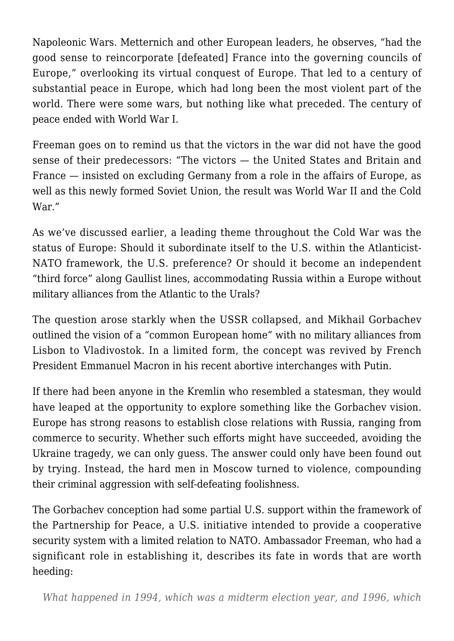Napoleonic Wars. Metternich and other European leaders, he observes, "had the good sense to reincorporate [defeated] France into the governing councils of Europe," overlooking its virtual conquest of Europe. That led to a century of substantial peace in Europe, which had long been the most violent part of the world. There were some wars, but nothing like what preceded. The century of peace ended with World War I.

Freeman goes on to remind us that the victors in the war did not have the good sense of their predecessors: "The victors — the United States and Britain and France — insisted on excluding Germany from a role in the affairs of Europe, as well as this newly formed Soviet Union, the result was World War II and the Cold War."

As we've discussed earlier, a leading theme throughout the Cold War was the status of Europe: Should it subordinate itself to the U.S. within the Atlanticist-NATO framework, the U.S. preference? Or should it become an independent "third force" along Gaullist lines, accommodating Russia within a Europe without military alliances from the Atlantic to the Urals?

The question arose starkly when the USSR collapsed, and Mikhail Gorbachev outlined the vision of a "common European home" with no military alliances from Lisbon to Vladivostok. In a limited form, the concept was revived by French President Emmanuel Macron in his recent abortive interchanges with Putin.

If there had been anyone in the Kremlin who resembled a statesman, they would have leaped at the opportunity to explore something like the Gorbachev vision. Europe has strong reasons to establish close relations with Russia, ranging from commerce to security. Whether such efforts might have succeeded, avoiding the Ukraine tragedy, we can only guess. The answer could only have been found out by trying. Instead, the hard men in Moscow turned to violence, compounding their criminal aggression with self-defeating foolishness.

The Gorbachev conception had some partial U.S. support within the framework of the Partnership for Peace, a U.S. initiative intended to provide a cooperative security system with a limited relation to NATO. Ambassador Freeman, who had a significant role in establishing it, describes its fate in words that are worth heeding: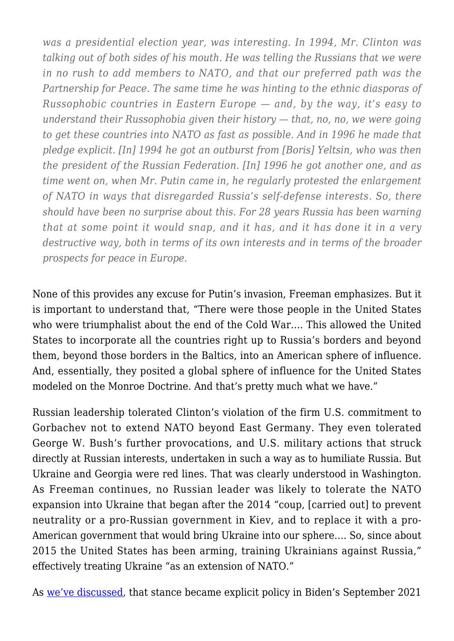*was a presidential election year, was interesting. In 1994, Mr. Clinton was talking out of both sides of his mouth. He was telling the Russians that we were in no rush to add members to NATO, and that our preferred path was the Partnership for Peace. The same time he was hinting to the ethnic diasporas of Russophobic countries in Eastern Europe — and, by the way, it's easy to understand their Russophobia given their history — that, no, no, we were going to get these countries into NATO as fast as possible. And in 1996 he made that pledge explicit. [In] 1994 he got an outburst from [Boris] Yeltsin, who was then the president of the Russian Federation. [In] 1996 he got another one, and as time went on, when Mr. Putin came in, he regularly protested the enlargement of NATO in ways that disregarded Russia's self-defense interests. So, there should have been no surprise about this. For 28 years Russia has been warning that at some point it would snap, and it has, and it has done it in a very destructive way, both in terms of its own interests and in terms of the broader prospects for peace in Europe.*

None of this provides any excuse for Putin's invasion, Freeman emphasizes. But it is important to understand that, "There were those people in the United States who were triumphalist about the end of the Cold War…. This allowed the United States to incorporate all the countries right up to Russia's borders and beyond them, beyond those borders in the Baltics, into an American sphere of influence. And, essentially, they posited a global sphere of influence for the United States modeled on the Monroe Doctrine. And that's pretty much what we have."

Russian leadership tolerated Clinton's violation of the firm U.S. commitment to Gorbachev not to extend NATO beyond East Germany. They even tolerated George W. Bush's further provocations, and U.S. military actions that struck directly at Russian interests, undertaken in such a way as to humiliate Russia. But Ukraine and Georgia were red lines. That was clearly understood in Washington. As Freeman continues, no Russian leader was likely to tolerate the NATO expansion into Ukraine that began after the 2014 "coup, [carried out] to prevent neutrality or a pro-Russian government in Kiev, and to replace it with a pro-American government that would bring Ukraine into our sphere…. So, since about 2015 the United States has been arming, training Ukrainians against Russia," effectively treating Ukraine "as an extension of NATO."

As [we've discussed](https://truthout.org/articles/chomsky-lets-focus-on-preventing-nuclear-war-rather-than-debating-just-war/), that stance became explicit policy in Biden's September 2021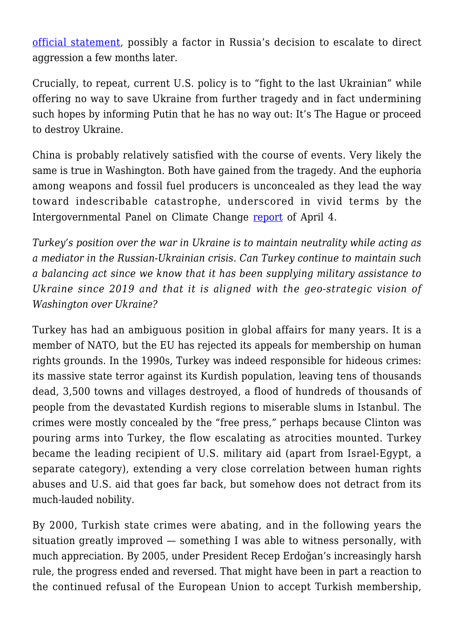[official statement,](https://www.whitehouse.gov/briefing-room/statements-releases/2021/09/01/joint-statement-on-the-u-s-ukraine-strategic-partnership/) possibly a factor in Russia's decision to escalate to direct aggression a few months later.

Crucially, to repeat, current U.S. policy is to "fight to the last Ukrainian" while offering no way to save Ukraine from further tragedy and in fact undermining such hopes by informing Putin that he has no way out: It's The Hague or proceed to destroy Ukraine.

China is probably relatively satisfied with the course of events. Very likely the same is true in Washington. Both have gained from the tragedy. And the euphoria among weapons and fossil fuel producers is unconcealed as they lead the way toward indescribable catastrophe, underscored in vivid terms by the Intergovernmental Panel on Climate Change [report](https://www.ipcc.ch/2022/04/04/ipcc-ar6-wgiii-pressrelease/) of April 4.

*Turkey's position over the war in Ukraine is to maintain neutrality while acting as a mediator in the Russian-Ukrainian crisis. Can Turkey continue to maintain such a balancing act since we know that it has been supplying military assistance to Ukraine since 2019 and that it is aligned with the geo-strategic vision of Washington over Ukraine?*

Turkey has had an ambiguous position in global affairs for many years. It is a member of NATO, but the EU has rejected its appeals for membership on human rights grounds. In the 1990s, Turkey was indeed responsible for hideous crimes: its massive state terror against its Kurdish population, leaving tens of thousands dead, 3,500 towns and villages destroyed, a flood of hundreds of thousands of people from the devastated Kurdish regions to miserable slums in Istanbul. The crimes were mostly concealed by the "free press," perhaps because Clinton was pouring arms into Turkey, the flow escalating as atrocities mounted. Turkey became the leading recipient of U.S. military aid (apart from Israel-Egypt, a separate category), extending a very close correlation between human rights abuses and U.S. aid that goes far back, but somehow does not detract from its much-lauded nobility.

By 2000, Turkish state crimes were abating, and in the following years the situation greatly improved — something I was able to witness personally, with much appreciation. By 2005, under President Recep Erdoğan's increasingly harsh rule, the progress ended and reversed. That might have been in part a reaction to the continued refusal of the European Union to accept Turkish membership,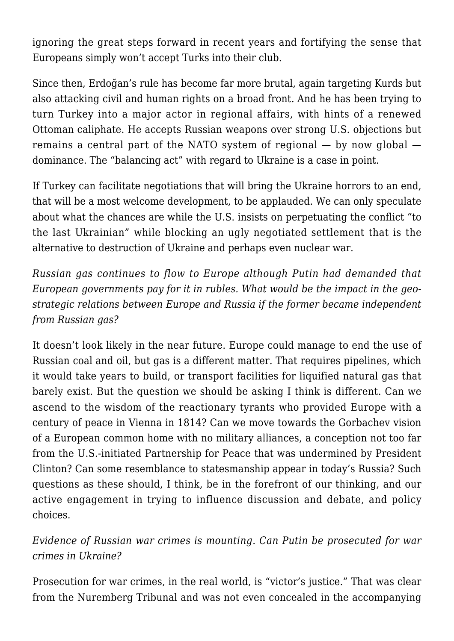ignoring the great steps forward in recent years and fortifying the sense that Europeans simply won't accept Turks into their club.

Since then, Erdoğan's rule has become far more brutal, again targeting Kurds but also attacking civil and human rights on a broad front. And he has been trying to turn Turkey into a major actor in regional affairs, with hints of a renewed Ottoman caliphate. He accepts Russian weapons over strong U.S. objections but remains a central part of the NATO system of regional — by now global dominance. The "balancing act" with regard to Ukraine is a case in point.

If Turkey can facilitate negotiations that will bring the Ukraine horrors to an end, that will be a most welcome development, to be applauded. We can only speculate about what the chances are while the U.S. insists on perpetuating the conflict "to the last Ukrainian" while blocking an ugly negotiated settlement that is the alternative to destruction of Ukraine and perhaps even nuclear war.

*Russian gas continues to flow to Europe although Putin had demanded that European governments pay for it in rubles. What would be the impact in the geostrategic relations between Europe and Russia if the former became independent from Russian gas?*

It doesn't look likely in the near future. Europe could manage to end the use of Russian coal and oil, but gas is a different matter. That requires pipelines, which it would take years to build, or transport facilities for liquified natural gas that barely exist. But the question we should be asking I think is different. Can we ascend to the wisdom of the reactionary tyrants who provided Europe with a century of peace in Vienna in 1814? Can we move towards the Gorbachev vision of a European common home with no military alliances, a conception not too far from the U.S.-initiated Partnership for Peace that was undermined by President Clinton? Can some resemblance to statesmanship appear in today's Russia? Such questions as these should, I think, be in the forefront of our thinking, and our active engagement in trying to influence discussion and debate, and policy choices.

*Evidence of Russian war crimes is mounting. Can Putin be prosecuted for war crimes in Ukraine?*

Prosecution for war crimes, in the real world, is "victor's justice." That was clear from the Nuremberg Tribunal and was not even concealed in the accompanying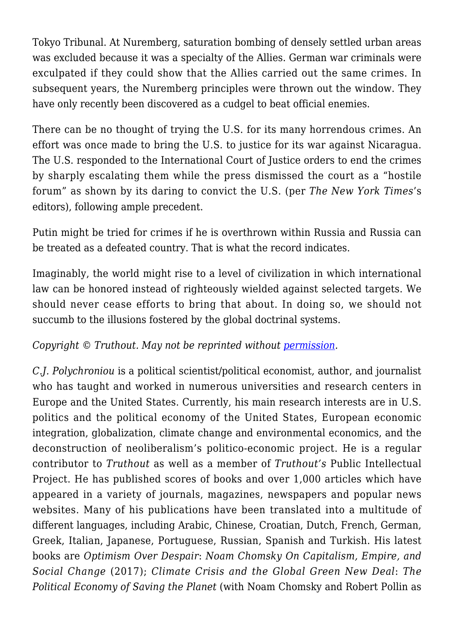Tokyo Tribunal. At Nuremberg, saturation bombing of densely settled urban areas was excluded because it was a specialty of the Allies. German war criminals were exculpated if they could show that the Allies carried out the same crimes. In subsequent years, the Nuremberg principles were thrown out the window. They have only recently been discovered as a cudgel to beat official enemies.

There can be no thought of trying the U.S. for its many horrendous crimes. An effort was once made to bring the U.S. to justice for its war against Nicaragua. The U.S. responded to the International Court of Justice orders to end the crimes by sharply escalating them while the press dismissed the court as a "hostile forum" as shown by its daring to convict the U.S. (per *The New York Times*'s editors), following ample precedent.

Putin might be tried for crimes if he is overthrown within Russia and Russia can be treated as a defeated country. That is what the record indicates.

Imaginably, the world might rise to a level of civilization in which international law can be honored instead of righteously wielded against selected targets. We should never cease efforts to bring that about. In doing so, we should not succumb to the illusions fostered by the global doctrinal systems.

### *Copyright* © Truthout. May not be reprinted without [permission.](mailto:editor@truthout.org)

*C.J. Polychroniou* is a political scientist/political economist, author, and journalist who has taught and worked in numerous universities and research centers in Europe and the United States. Currently, his main research interests are in U.S. politics and the political economy of the United States, European economic integration, globalization, climate change and environmental economics, and the deconstruction of neoliberalism's politico-economic project. He is a regular contributor to *Truthout* as well as a member of *Truthout's* Public Intellectual Project. He has published scores of books and over 1,000 articles which have appeared in a variety of journals, magazines, newspapers and popular news websites. Many of his publications have been translated into a multitude of different languages, including Arabic, Chinese, Croatian, Dutch, French, German, Greek, Italian, Japanese, Portuguese, Russian, Spanish and Turkish. His latest books are *Optimism Over Despair*: *Noam Chomsky On Capitalism, Empire, and Social Change* (2017); *Climate Crisis and the Global Green New Deal*: *The Political Economy of Saving the Planet* (with Noam Chomsky and Robert Pollin as